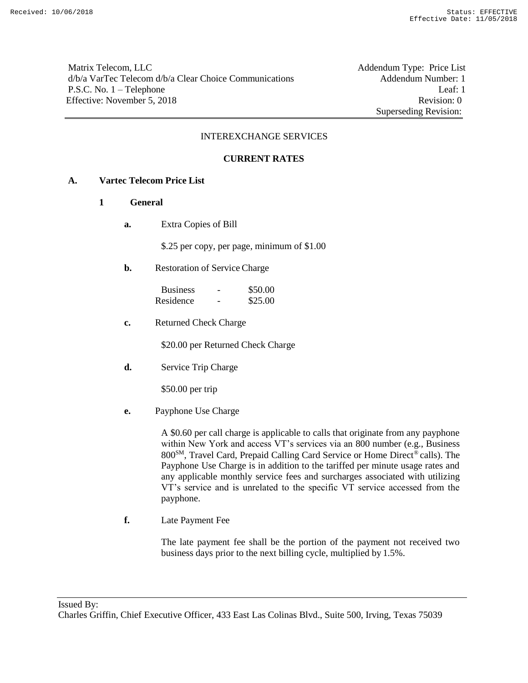Matrix Telecom, LLC Addendum Type: Price List d/b/a VarTec Telecom d/b/a Clear Choice Communications Addendum Number: 1 P.S.C. No. 1 – Telephone Leaf: 1 Effective: November 5, 2018 Revision: 0

Superseding Revision:

### INTEREXCHANGE SERVICES

### **CURRENT RATES**

### **A. Vartec Telecom Price List**

- **1 General**
	- **a.** Extra Copies of Bill

\$.25 per copy, per page, minimum of \$1.00

**b.** Restoration of Service Charge

| <b>Business</b> | - | \$50.00 |
|-----------------|---|---------|
| Residence       | - | \$25.00 |

**c.** Returned Check Charge

\$20.00 per Returned Check Charge

**d.** Service Trip Charge

\$50.00 per trip

**e.** Payphone Use Charge

A \$0.60 per call charge is applicable to calls that originate from any payphone within New York and access VT's services via an 800 number (e.g., Business 800<sup>SM</sup>, Travel Card, Prepaid Calling Card Service or Home Direct<sup>®</sup> calls). The Payphone Use Charge is in addition to the tariffed per minute usage rates and any applicable monthly service fees and surcharges associated with utilizing VT's service and is unrelated to the specific VT service accessed from the payphone.

**f.** Late Payment Fee

The late payment fee shall be the portion of the payment not received two business days prior to the next billing cycle, multiplied by 1.5%.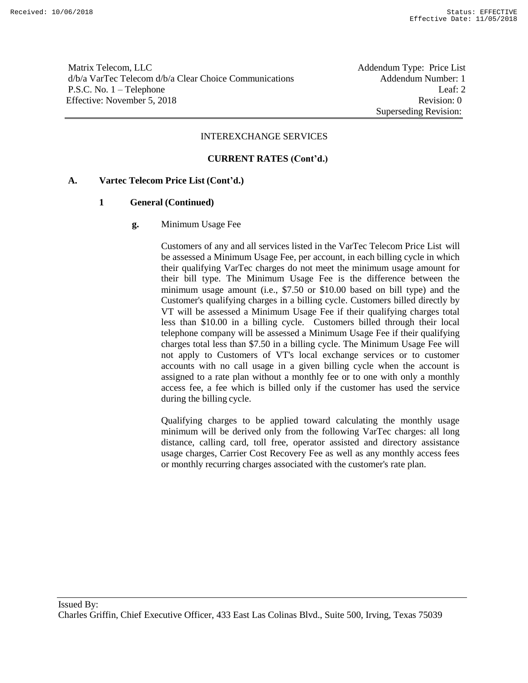Matrix Telecom, LLC **Addendum Type: Price List** d/b/a VarTec Telecom d/b/a Clear Choice Communications Addendum Number: 1 P.S.C. No. 1 – Telephone Leaf: 2 Effective: November 5, 2018 Revision: 0

Superseding Revision:

#### INTEREXCHANGE SERVICES

### **CURRENT RATES (Cont'd.)**

### **A. Vartec Telecom Price List (Cont'd.)**

#### **1 General (Continued)**

**g.** Minimum Usage Fee

Customers of any and all services listed in the VarTec Telecom Price List will be assessed a Minimum Usage Fee, per account, in each billing cycle in which their qualifying VarTec charges do not meet the minimum usage amount for their bill type. The Minimum Usage Fee is the difference between the minimum usage amount (i.e., \$7.50 or \$10.00 based on bill type) and the Customer's qualifying charges in a billing cycle. Customers billed directly by VT will be assessed a Minimum Usage Fee if their qualifying charges total less than \$10.00 in a billing cycle. Customers billed through their local telephone company will be assessed a Minimum Usage Fee if their qualifying charges total less than \$7.50 in a billing cycle. The Minimum Usage Fee will not apply to Customers of VT's local exchange services or to customer accounts with no call usage in a given billing cycle when the account is assigned to a rate plan without a monthly fee or to one with only a monthly access fee, a fee which is billed only if the customer has used the service during the billing cycle.

Qualifying charges to be applied toward calculating the monthly usage minimum will be derived only from the following VarTec charges: all long distance, calling card, toll free, operator assisted and directory assistance usage charges, Carrier Cost Recovery Fee as well as any monthly access fees or monthly recurring charges associated with the customer's rate plan.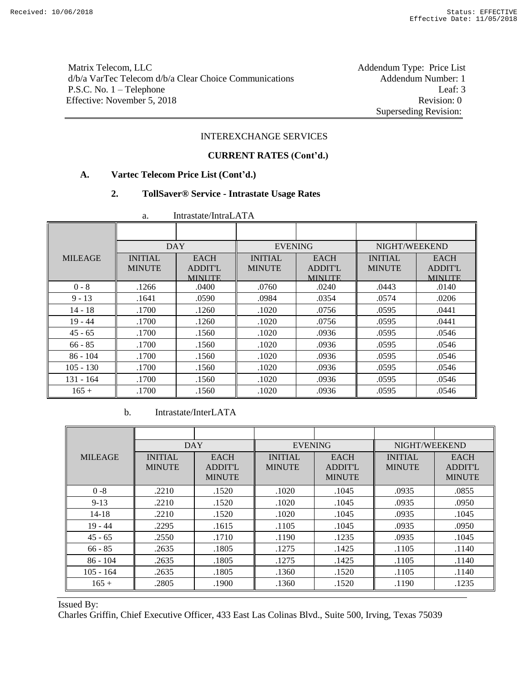# Matrix Telecom, LLC<br>
d/b/a VarTec Telecom d/b/a Clear Choice Communications Addendum Number: 1 d/b/a VarTec Telecom d/b/a Clear Choice Communications P.S.C. No. 1 – Telephone Leaf: 3 Effective: November 5, 2018 Revision: 0

Superseding Revision:

### INTEREXCHANGE SERVICES

#### **CURRENT RATES (Cont'd.)**

### **A. Vartec Telecom Price List (Cont'd.)**

#### **2. TollSaver® Service - Intrastate Usage Rates**

| <br>11111 astate 11111 a.l. 1 1 1 1 |                |                |                |                |                |                |
|-------------------------------------|----------------|----------------|----------------|----------------|----------------|----------------|
|                                     |                |                |                |                |                |                |
|                                     | <b>DAY</b>     |                | <b>EVENING</b> |                | NIGHT/WEEKEND  |                |
| <b>MILEAGE</b>                      | <b>INITIAL</b> | <b>EACH</b>    | <b>INITIAL</b> | <b>EACH</b>    | <b>INITIAL</b> | <b>EACH</b>    |
|                                     | <b>MINUTE</b>  | <b>ADDIT'L</b> | <b>MINUTE</b>  | <b>ADDIT'L</b> | <b>MINUTE</b>  | <b>ADDIT'L</b> |
|                                     |                | <b>MINUTE</b>  |                | <b>MINUTE</b>  |                | <b>MINUTE</b>  |
| $0 - 8$                             | .1266          | .0400          | .0760          | .0240          | .0443          | .0140          |
| $9 - 13$                            | .1641          | .0590          | .0984          | .0354          | .0574          | .0206          |
| $14 - 18$                           | .1700          | .1260          | .1020          | .0756          | .0595          | .0441          |
| $19 - 44$                           | .1700          | .1260          | .1020          | .0756          | .0595          | .0441          |
| $45 - 65$                           | .1700          | .1560          | .1020          | .0936          | .0595          | .0546          |
| $66 - 85$                           | .1700          | .1560          | .1020          | .0936          | .0595          | .0546          |
| $86 - 104$                          | .1700          | .1560          | .1020          | .0936          | .0595          | .0546          |
| $105 - 130$                         | .1700          | .1560          | .1020          | .0936          | .0595          | .0546          |
| $131 - 164$                         | .1700          | .1560          | .1020          | .0936          | .0595          | .0546          |
| $165 +$                             | .1700          | .1560          | .1020          | .0936          | .0595          | .0546          |

a. Intrastate/IntraLATA

b. Intrastate/InterLATA

|                | <b>DAY</b>                      |                                                | <b>EVENING</b>                  |                                                | NIGHT/WEEKEND                   |                                                |
|----------------|---------------------------------|------------------------------------------------|---------------------------------|------------------------------------------------|---------------------------------|------------------------------------------------|
| <b>MILEAGE</b> | <b>INITIAL</b><br><b>MINUTE</b> | <b>EACH</b><br><b>ADDIT'L</b><br><b>MINUTE</b> | <b>INITIAL</b><br><b>MINUTE</b> | <b>EACH</b><br><b>ADDIT'L</b><br><b>MINUTE</b> | <b>INITIAL</b><br><b>MINUTE</b> | <b>EACH</b><br><b>ADDIT'L</b><br><b>MINUTE</b> |
| $0 - 8$        | .2210                           | .1520                                          | .1020                           | .1045                                          | .0935                           | .0855                                          |
| $9 - 13$       | .2210                           | .1520                                          | .1020                           | .1045                                          | .0935                           | .0950                                          |
| 14-18          | .2210                           | .1520                                          | .1020                           | .1045                                          | .0935                           | .1045                                          |
| $19 - 44$      | .2295                           | .1615                                          | .1105                           | .1045                                          | .0935                           | .0950                                          |
| $45 - 65$      | .2550                           | .1710                                          | .1190                           | .1235                                          | .0935                           | .1045                                          |
| $66 - 85$      | .2635                           | .1805                                          | .1275                           | .1425                                          | .1105                           | .1140                                          |
| $86 - 104$     | .2635                           | .1805                                          | .1275                           | .1425                                          | .1105                           | .1140                                          |
| $105 - 164$    | .2635                           | .1805                                          | .1360                           | .1520                                          | .1105                           | .1140                                          |
| $165 +$        | .2805                           | .1900                                          | .1360                           | .1520                                          | .1190                           | .1235                                          |

#### Issued By: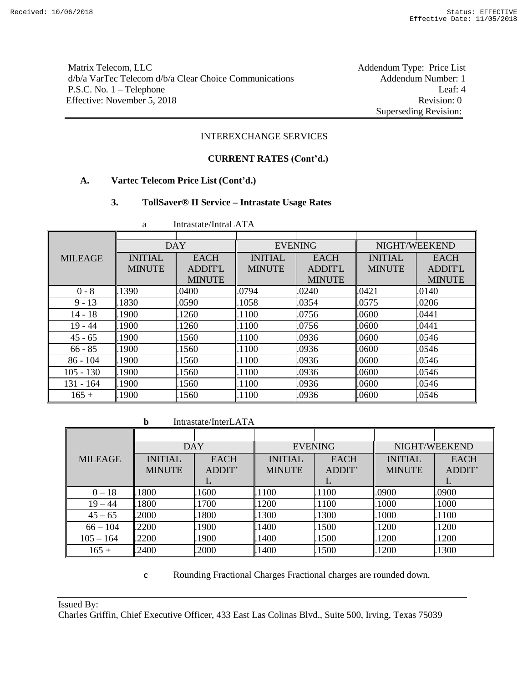Matrix Telecom, LLC<br>
d/b/a VarTec Telecom d/b/a Clear Choice Communications Addendum Number: 1 d/b/a VarTec Telecom d/b/a Clear Choice Communications P.S.C. No. 1 – Telephone Leaf: 4 Effective: November 5, 2018 Revision: 0

Superseding Revision:

#### INTEREXCHANGE SERVICES

# **CURRENT RATES (Cont'd.)**

### **A. Vartec Telecom Price List (Cont'd.)**

#### **3. TollSaver® II Service – Intrastate Usage Rates**

|                | <b>DAY</b>     |                | <b>EVENING</b> |               | NIGHT/WEEKEND  |               |
|----------------|----------------|----------------|----------------|---------------|----------------|---------------|
| <b>MILEAGE</b> | <b>INITIAL</b> | <b>EACH</b>    | <b>INITIAL</b> | <b>EACH</b>   | <b>INITIAL</b> | <b>EACH</b>   |
|                | <b>MINUTE</b>  | <b>ADDIT'L</b> | <b>MINUTE</b>  | ADDIT'L       | <b>MINUTE</b>  | ADDIT'L       |
|                |                | <b>MINUTE</b>  |                | <b>MINUTE</b> |                | <b>MINUTE</b> |
| $0 - 8$        | .1390          | .0400          | .0794          | .0240         | .0421          | .0140         |
| $9 - 13$       | 1830           | .0590          | .1058          | .0354         | 1.0575         | .0206         |
| $14 - 18$      | .1900          | 1260           | .1100          | .0756         | .0600          | .0441         |
| $19 - 44$      | .1900          | 1260           | .1100          | .0756         | .0600          | .0441         |
| $45 - 65$      | 1900           | 1560           | .1100          | .0936         | .0600          | .0546         |
| $66 - 85$      | .1900          | 1560           | .1100          | .0936         | .0600          | .0546         |
| $86 - 104$     | .1900          | 1560           | .1100          | .0936         | .0600          | .0546         |
| $105 - 130$    | .1900          | 1560           | .1100          | .0936         | .0600          | .0546         |
| 131 - 164      | .1900          | 1560           | .1100          | .0936         | .0600          | .0546         |
| $165 +$        | 1900           | 1560           | .1100          | .0936         | .0600          | .0546         |

a Intrastate/IntraLATA

**b** Intrastate/InterLATA

|                | <b>DAY</b>     |             |                | <b>EVENING</b> | NIGHT/WEEKEND  |             |
|----------------|----------------|-------------|----------------|----------------|----------------|-------------|
| <b>MILEAGE</b> | <b>INITIAL</b> | <b>EACH</b> | <b>INITIAL</b> | <b>EACH</b>    | <b>INITIAL</b> | <b>EACH</b> |
|                | <b>MINUTE</b>  | ADDIT'      | <b>MINUTE</b>  | ADDIT'         | <b>MINUTE</b>  | ADDIT'      |
|                |                |             |                | L              |                | ┶           |
| $0 - 18$       | 1800           | .1600       | .1100          | .1100          | .0900          | .0900       |
| $19 - 44$      | 1800           | 1700        | .1200          | .1100          | .1000          | .1000       |
| $45 - 65$      | .2000          | .1800       | .1300          | .1300          | .1000          | .1100       |
| $66 - 104$     | .2200          | .1900       | .1400          | .1500          | .1200          | .1200       |
| $105 - 164$    | .2200          | .1900       | .1400          | .1500          | 1200           | .1200       |
| $165 +$        | .2400          | .2000       | .1400          | .1500          | .1200          | .1300       |

**c** Rounding Fractional Charges Fractional charges are rounded down.

Issued By: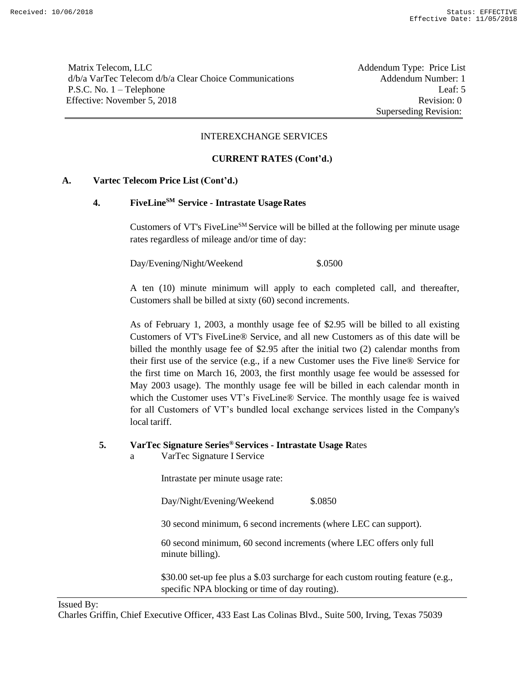Matrix Telecom, LLC **Addendum Type: Price List** d/b/a VarTec Telecom d/b/a Clear Choice Communications Addendum Number: 1 P.S.C. No. 1 – Telephone Leaf: 5 Effective: November 5, 2018 Revision: 0

Superseding Revision:

### INTEREXCHANGE SERVICES

### **CURRENT RATES (Cont'd.)**

### **A. Vartec Telecom Price List (Cont'd.)**

# **4. FiveLineSM Service - Intrastate UsageRates**

Customers of VT's FiveLine<sup>SM</sup> Service will be billed at the following per minute usage rates regardless of mileage and/or time of day:

Day/Evening/Night/Weekend \$.0500

A ten (10) minute minimum will apply to each completed call, and thereafter, Customers shall be billed at sixty (60) second increments.

As of February 1, 2003, a monthly usage fee of \$2.95 will be billed to all existing Customers of VT's FiveLine® Service, and all new Customers as of this date will be billed the monthly usage fee of \$2.95 after the initial two (2) calendar months from their first use of the service (e.g., if a new Customer uses the Five line® Service for the first time on March 16, 2003, the first monthly usage fee would be assessed for May 2003 usage). The monthly usage fee will be billed in each calendar month in which the Customer uses VT's FiveLine® Service. The monthly usage fee is waived for all Customers of VT's bundled local exchange services listed in the Company's local tariff.

# **5. VarTec Signature Series® Services - Intrastate Usage R**ates

a VarTec Signature I Service

Intrastate per minute usage rate:

Day/Night/Evening/Weekend \$.0850

30 second minimum, 6 second increments (where LEC can support).

60 second minimum, 60 second increments (where LEC offers only full minute billing).

\$30.00 set-up fee plus a \$.03 surcharge for each custom routing feature (e.g., specific NPA blocking or time of day routing).

### Issued By: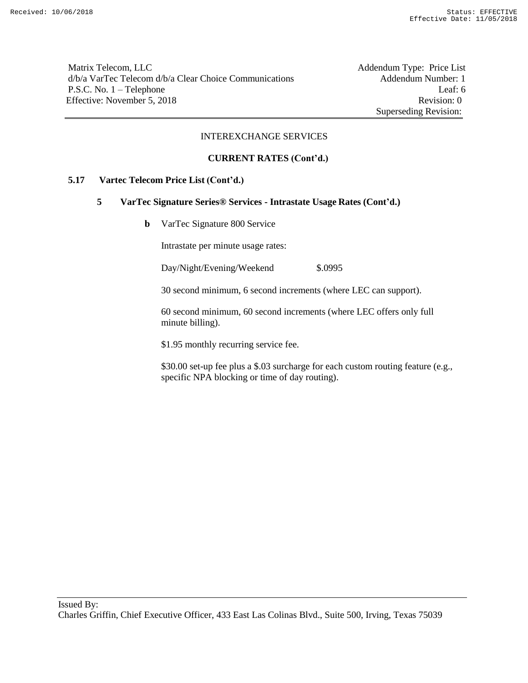Matrix Telecom, LLC Addendum Type: Price List d/b/a VarTec Telecom d/b/a Clear Choice Communications Addendum Number: 1 P.S.C. No. 1 – Telephone Leaf: 6 Effective: November 5, 2018 Revision: 0

Superseding Revision:

#### INTEREXCHANGE SERVICES

#### **CURRENT RATES (Cont'd.)**

### **5.17 Vartec Telecom Price List (Cont'd.)**

#### **5 VarTec Signature Series® Services - Intrastate Usage Rates (Cont'd.)**

**b** VarTec Signature 800 Service

Intrastate per minute usage rates:

Day/Night/Evening/Weekend \$.0995

30 second minimum, 6 second increments (where LEC can support).

60 second minimum, 60 second increments (where LEC offers only full minute billing).

\$1.95 monthly recurring service fee.

\$30.00 set-up fee plus a \$.03 surcharge for each custom routing feature (e.g., specific NPA blocking or time of day routing).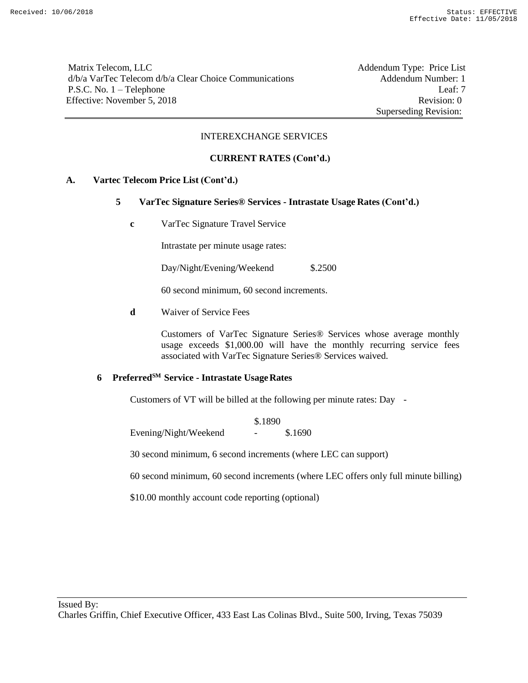Matrix Telecom, LLC Addendum Type: Price List d/b/a VarTec Telecom d/b/a Clear Choice Communications Addendum Number: 1 P.S.C. No. 1 – Telephone Leaf: 7 Effective: November 5, 2018 Revision: 0

Superseding Revision:

### INTEREXCHANGE SERVICES

### **CURRENT RATES (Cont'd.)**

### **A. Vartec Telecom Price List (Cont'd.)**

- **5 VarTec Signature Series® Services - Intrastate Usage Rates (Cont'd.)**
	- **c** VarTec Signature Travel Service

Intrastate per minute usage rates:

Day/Night/Evening/Weekend \$.2500

60 second minimum, 60 second increments.

**d** Waiver of Service Fees

Customers of VarTec Signature Series® Services whose average monthly usage exceeds \$1,000.00 will have the monthly recurring service fees associated with VarTec Signature Series® Services waived.

### **6 PreferredSM Service - Intrastate UsageRates**

Customers of VT will be billed at the following per minute rates: Day -

\$.1890 Evening/Night/Weekend - \$.1690

30 second minimum, 6 second increments (where LEC can support)

60 second minimum, 60 second increments (where LEC offers only full minute billing)

\$10.00 monthly account code reporting (optional)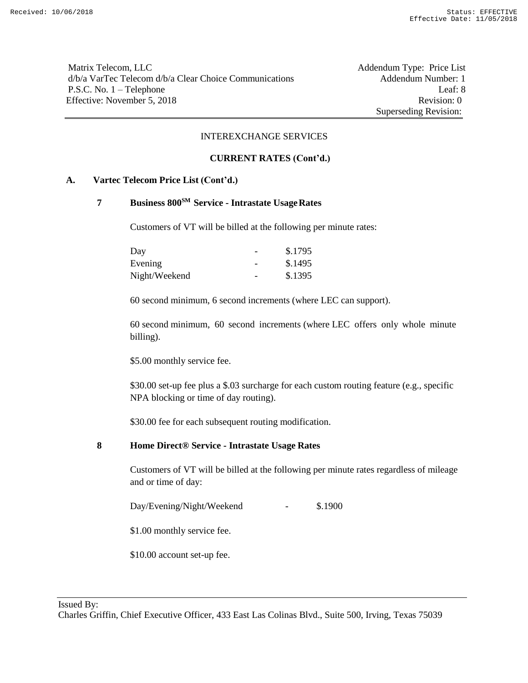Matrix Telecom, LLC Addendum Type: Price List d/b/a VarTec Telecom d/b/a Clear Choice Communications Addendum Number: 1 P.S.C. No. 1 – Telephone Leaf: 8 Effective: November 5, 2018 Revision: 0

Superseding Revision:

#### INTEREXCHANGE SERVICES

#### **CURRENT RATES (Cont'd.)**

### **A. Vartec Telecom Price List (Cont'd.)**

# **7 Business 800SM Service - Intrastate UsageRates**

Customers of VT will be billed at the following per minute rates:

| Day           | \$.1795 |
|---------------|---------|
| Evening       | \$.1495 |
| Night/Weekend | \$.1395 |

60 second minimum, 6 second increments (where LEC can support).

60 second minimum, 60 second increments (where LEC offers only whole minute billing).

\$5.00 monthly service fee.

\$30.00 set-up fee plus a \$.03 surcharge for each custom routing feature (e.g., specific NPA blocking or time of day routing).

\$30.00 fee for each subsequent routing modification.

### **8 Home Direct® Service - Intrastate Usage Rates**

Customers of VT will be billed at the following per minute rates regardless of mileage and or time of day:

Day/Evening/Night/Weekend - \$.1900

\$1.00 monthly service fee.

\$10.00 account set-up fee.

Issued By: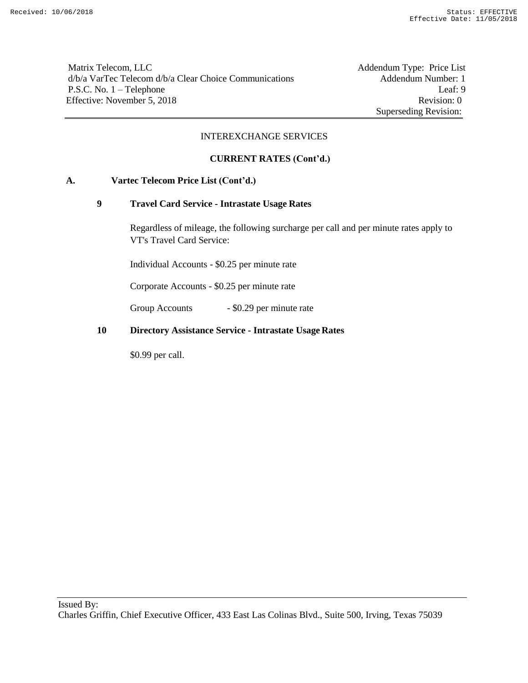Matrix Telecom, LLC Addendum Type: Price List d/b/a VarTec Telecom d/b/a Clear Choice Communications Addendum Number: 1 P.S.C. No. 1 – Telephone Leaf: 9 Effective: November 5, 2018 Revision: 0

Superseding Revision:

### INTEREXCHANGE SERVICES

### **CURRENT RATES (Cont'd.)**

### **A. Vartec Telecom Price List (Cont'd.)**

### **9 Travel Card Service - Intrastate Usage Rates**

Regardless of mileage, the following surcharge per call and per minute rates apply to VT's Travel Card Service:

Individual Accounts - \$0.25 per minute rate

Corporate Accounts - \$0.25 per minute rate

Group Accounts - \$0.29 per minute rate

#### **10 Directory Assistance Service - Intrastate Usage Rates**

\$0.99 per call.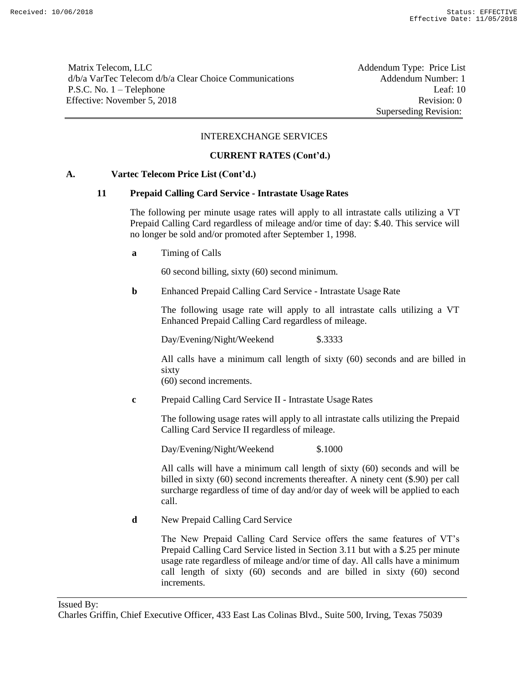Matrix Telecom, LLC **Addendum Type: Price List** d/b/a VarTec Telecom d/b/a Clear Choice Communications Addendum Number: 1 P.S.C. No. 1 – Telephone Leaf: 10 Effective: November 5, 2018 Revision: 0

Superseding Revision:

#### INTEREXCHANGE SERVICES

### **CURRENT RATES (Cont'd.)**

#### **A. Vartec Telecom Price List (Cont'd.)**

#### **11 Prepaid Calling Card Service - Intrastate Usage Rates**

The following per minute usage rates will apply to all intrastate calls utilizing a VT Prepaid Calling Card regardless of mileage and/or time of day: \$.40. This service will no longer be sold and/or promoted after September 1, 1998.

**a** Timing of Calls

60 second billing, sixty (60) second minimum.

**b** Enhanced Prepaid Calling Card Service - Intrastate Usage Rate

The following usage rate will apply to all intrastate calls utilizing a VT Enhanced Prepaid Calling Card regardless of mileage.

Day/Evening/Night/Weekend \$.3333

All calls have a minimum call length of sixty (60) seconds and are billed in sixty

(60) second increments.

**c** Prepaid Calling Card Service II - Intrastate Usage Rates

The following usage rates will apply to all intrastate calls utilizing the Prepaid Calling Card Service II regardless of mileage.

Day/Evening/Night/Weekend \$.1000

All calls will have a minimum call length of sixty (60) seconds and will be billed in sixty (60) second increments thereafter. A ninety cent (\$.90) per call surcharge regardless of time of day and/or day of week will be applied to each call.

**d** New Prepaid Calling Card Service

The New Prepaid Calling Card Service offers the same features of VT's Prepaid Calling Card Service listed in Section 3.11 but with a \$.25 per minute usage rate regardless of mileage and/or time of day. All calls have a minimum call length of sixty (60) seconds and are billed in sixty (60) second increments.

Issued By: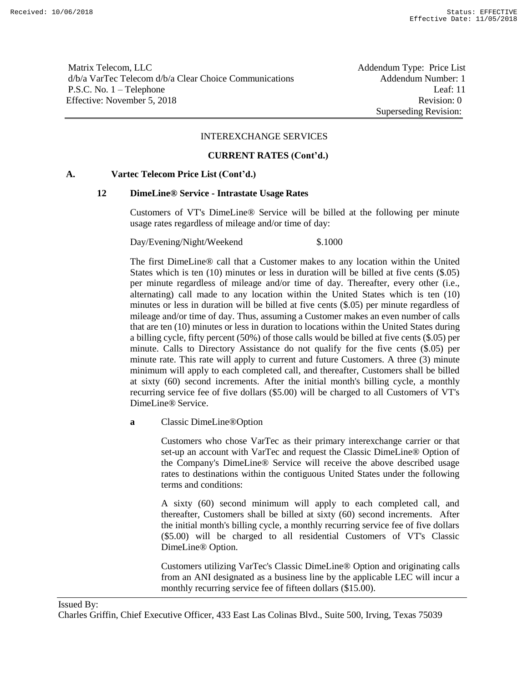Matrix Telecom, LLC **Addendum Type: Price List** d/b/a VarTec Telecom d/b/a Clear Choice Communications Addendum Number: 1 P.S.C. No. 1 – Telephone Leaf: 11 Effective: November 5, 2018 Revision: 0

Superseding Revision:

#### INTEREXCHANGE SERVICES

#### **CURRENT RATES (Cont'd.)**

#### **A. Vartec Telecom Price List (Cont'd.)**

#### **12 DimeLine® Service - Intrastate Usage Rates**

Customers of VT's DimeLine® Service will be billed at the following per minute usage rates regardless of mileage and/or time of day:

Day/Evening/Night/Weekend \$.1000

The first DimeLine® call that a Customer makes to any location within the United States which is ten (10) minutes or less in duration will be billed at five cents (\$.05) per minute regardless of mileage and/or time of day. Thereafter, every other (i.e., alternating) call made to any location within the United States which is ten (10) minutes or less in duration will be billed at five cents (\$.05) per minute regardless of mileage and/or time of day. Thus, assuming a Customer makes an even number of calls that are ten (10) minutes or less in duration to locations within the United States during a billing cycle, fifty percent (50%) of those calls would be billed at five cents (\$.05) per minute. Calls to Directory Assistance do not qualify for the five cents (\$.05) per minute rate. This rate will apply to current and future Customers. A three (3) minute minimum will apply to each completed call, and thereafter, Customers shall be billed at sixty (60) second increments. After the initial month's billing cycle, a monthly recurring service fee of five dollars (\$5.00) will be charged to all Customers of VT's DimeLine® Service.

**a** Classic DimeLine®Option

Customers who chose VarTec as their primary interexchange carrier or that set-up an account with VarTec and request the Classic DimeLine® Option of the Company's DimeLine® Service will receive the above described usage rates to destinations within the contiguous United States under the following terms and conditions:

A sixty (60) second minimum will apply to each completed call, and thereafter, Customers shall be billed at sixty (60) second increments. After the initial month's billing cycle, a monthly recurring service fee of five dollars (\$5.00) will be charged to all residential Customers of VT's Classic DimeLine® Option.

Customers utilizing VarTec's Classic DimeLine® Option and originating calls from an ANI designated as a business line by the applicable LEC will incur a monthly recurring service fee of fifteen dollars (\$15.00).

### Issued By: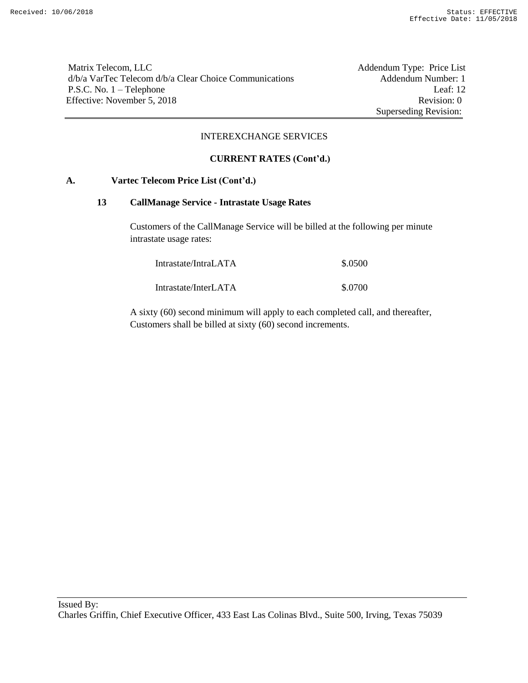Matrix Telecom, LLC Addendum Type: Price List d/b/a VarTec Telecom d/b/a Clear Choice Communications Addendum Number: 1 P.S.C. No. 1 – Telephone Leaf: 12 Effective: November 5, 2018 Revision: 0

Superseding Revision:

#### INTEREXCHANGE SERVICES

### **CURRENT RATES (Cont'd.)**

### **A. Vartec Telecom Price List (Cont'd.)**

#### **13 CallManage Service - Intrastate Usage Rates**

Customers of the CallManage Service will be billed at the following per minute intrastate usage rates:

| Intrastate/IntraLATA | \$.0500 |
|----------------------|---------|
| Intrastate/InterLATA | \$.0700 |

A sixty (60) second minimum will apply to each completed call, and thereafter, Customers shall be billed at sixty (60) second increments.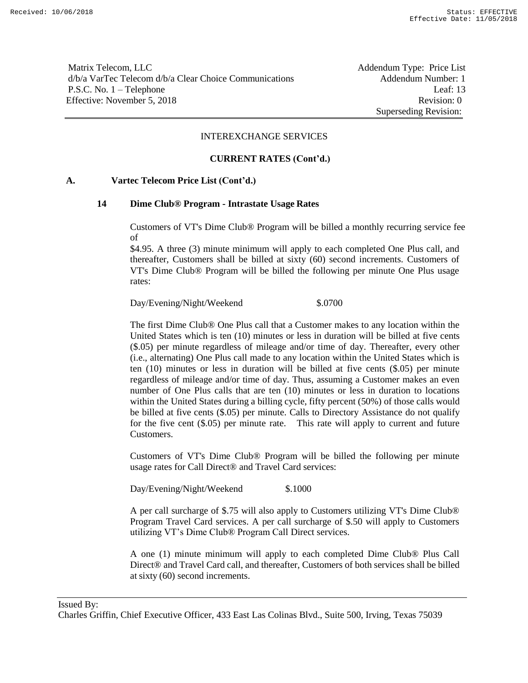Matrix Telecom, LLC **Addendum Type: Price List** d/b/a VarTec Telecom d/b/a Clear Choice Communications Addendum Number: 1 P.S.C. No. 1 – Telephone Leaf: 13 Effective: November 5, 2018 Revision: 0

Superseding Revision:

#### INTEREXCHANGE SERVICES

#### **CURRENT RATES (Cont'd.)**

#### **A. Vartec Telecom Price List (Cont'd.)**

### **14 Dime Club® Program - Intrastate Usage Rates**

Customers of VT's Dime Club® Program will be billed a monthly recurring service fee of

\$4.95. A three (3) minute minimum will apply to each completed One Plus call, and thereafter, Customers shall be billed at sixty (60) second increments. Customers of VT's Dime Club® Program will be billed the following per minute One Plus usage rates:

Day/Evening/Night/Weekend \$.0700

The first Dime Club® One Plus call that a Customer makes to any location within the United States which is ten (10) minutes or less in duration will be billed at five cents (\$.05) per minute regardless of mileage and/or time of day. Thereafter, every other (i.e., alternating) One Plus call made to any location within the United States which is ten (10) minutes or less in duration will be billed at five cents (\$.05) per minute regardless of mileage and/or time of day. Thus, assuming a Customer makes an even number of One Plus calls that are ten (10) minutes or less in duration to locations within the United States during a billing cycle, fifty percent (50%) of those calls would be billed at five cents (\$.05) per minute. Calls to Directory Assistance do not qualify for the five cent (\$.05) per minute rate. This rate will apply to current and future Customers.

Customers of VT's Dime Club® Program will be billed the following per minute usage rates for Call Direct® and Travel Card services:

Day/Evening/Night/Weekend \$.1000

A per call surcharge of \$.75 will also apply to Customers utilizing VT's Dime Club® Program Travel Card services. A per call surcharge of \$.50 will apply to Customers utilizing VT's Dime Club® Program Call Direct services.

A one (1) minute minimum will apply to each completed Dime Club® Plus Call Direct® and Travel Card call, and thereafter, Customers of both services shall be billed at sixty (60) second increments.

Issued By: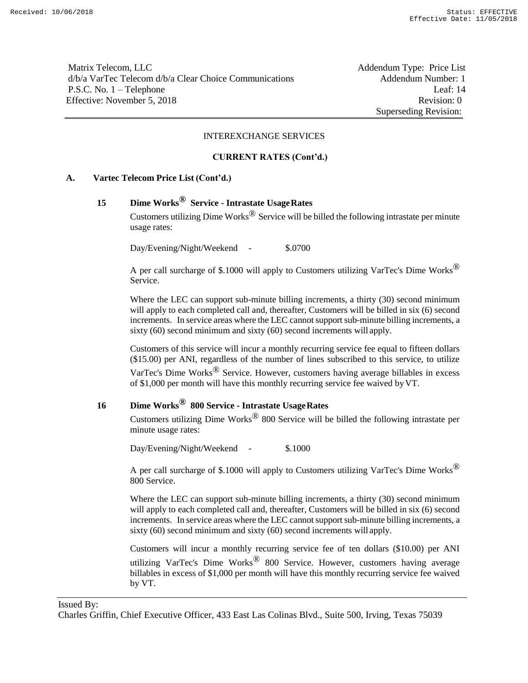Matrix Telecom, LLC **Addendum Type: Price List** d/b/a VarTec Telecom d/b/a Clear Choice Communications Addendum Number: 1 P.S.C. No. 1 – Telephone Leaf: 14 Effective: November 5, 2018 Revision: 0

Superseding Revision:

#### INTEREXCHANGE SERVICES

#### **CURRENT RATES (Cont'd.)**

#### **A. Vartec Telecom Price List (Cont'd.)**

# **15 Dime Works® Service - Intrastate UsageRates**

Customers utilizing Dime Works<sup> $\odot$ </sup> Service will be billed the following intrastate per minute usage rates:

Day/Evening/Night/Weekend - \$.0700

A per call surcharge of \$.1000 will apply to Customers utilizing VarTec's Dime Works<sup> $\circledR$ </sup> Service.

Where the LEC can support sub-minute billing increments, a thirty (30) second minimum will apply to each completed call and, thereafter, Customers will be billed in six (6) second increments. In service areas where the LEC cannot support sub-minute billing increments, a sixty (60) second minimum and sixty (60) second increments will apply.

Customers of this service will incur a monthly recurring service fee equal to fifteen dollars (\$15.00) per ANI, regardless of the number of lines subscribed to this service, to utilize VarTec's Dime Works® Service. However, customers having average billables in excess of \$1,000 per month will have this monthly recurring service fee waived byVT.

# **16 Dime Works® 800 Service - Intrastate UsageRates**

Customers utilizing Dime Works® 800 Service will be billed the following intrastate per minute usage rates:

Day/Evening/Night/Weekend - \$.1000

A per call surcharge of \$.1000 will apply to Customers utilizing VarTec's Dime Works<sup> $\circledR$ </sup> 800 Service.

Where the LEC can support sub-minute billing increments, a thirty (30) second minimum will apply to each completed call and, thereafter, Customers will be billed in six (6) second increments. In service areas where the LEC cannot support sub-minute billing increments, a sixty (60) second minimum and sixty (60) second increments will apply.

Customers will incur a monthly recurring service fee of ten dollars (\$10.00) per ANI utilizing VarTec's Dime Works® 800 Service. However, customers having average billables in excess of \$1,000 per month will have this monthly recurring service fee waived by VT.

Issued By:

Charles Griffin, Chief Executive Officer, 433 East Las Colinas Blvd., Suite 500, Irving, Texas 75039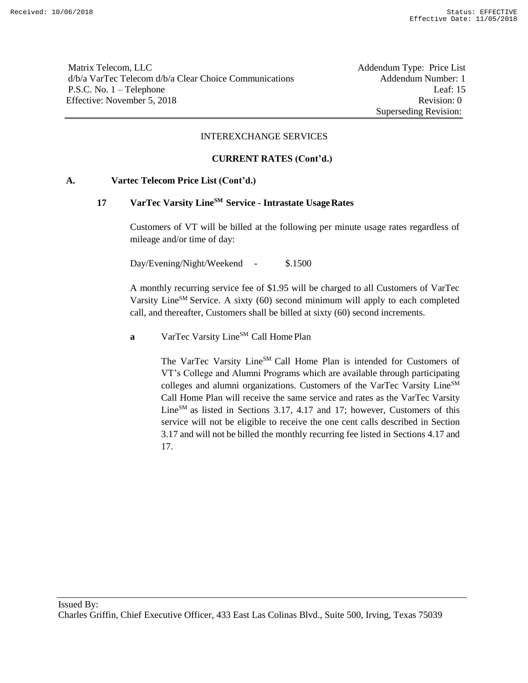Matrix Telecom, LLC **Addendum Type: Price List** d/b/a VarTec Telecom d/b/a Clear Choice Communications Addendum Number: 1 P.S.C. No. 1 – Telephone Leaf: 15 Effective: November 5, 2018 Revision: 0

Superseding Revision:

#### INTEREXCHANGE SERVICES

### **CURRENT RATES (Cont'd.)**

### **A. Vartec Telecom Price List (Cont'd.)**

# **17 VarTec Varsity LineSM Service - Intrastate UsageRates**

Customers of VT will be billed at the following per minute usage rates regardless of mileage and/or time of day:

Day/Evening/Night/Weekend - \$.1500

A monthly recurring service fee of \$1.95 will be charged to all Customers of VarTec Varsity Line<sup>SM</sup> Service. A sixty (60) second minimum will apply to each completed call, and thereafter, Customers shall be billed at sixty (60) second increments.

**a** VarTec Varsity Line<sup>SM</sup> Call Home Plan

The VarTec Varsity Line<sup>SM</sup> Call Home Plan is intended for Customers of VT's College and Alumni Programs which are available through participating colleges and alumni organizations. Customers of the VarTec Varsity Line<sup>SM</sup> Call Home Plan will receive the same service and rates as the VarTec Varsity Line $^{SM}$  as listed in Sections 3.17, 4.17 and 17; however, Customers of this service will not be eligible to receive the one cent calls described in Section 3.17 and will not be billed the monthly recurring fee listed in Sections 4.17 and 17.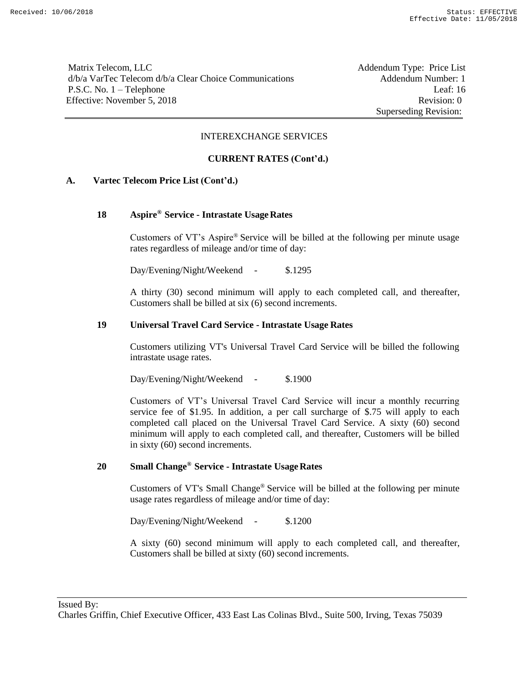Matrix Telecom, LLC **Addendum Type: Price List** d/b/a VarTec Telecom d/b/a Clear Choice Communications Addendum Number: 1 P.S.C. No. 1 – Telephone Leaf: 16 Effective: November 5, 2018 Revision: 0

Superseding Revision:

#### INTEREXCHANGE SERVICES

### **CURRENT RATES (Cont'd.)**

### **A. Vartec Telecom Price List (Cont'd.)**

### **18 Aspire® Service - Intrastate UsageRates**

Customers of VT's Aspire® Service will be billed at the following per minute usage rates regardless of mileage and/or time of day:

Day/Evening/Night/Weekend - \$.1295

A thirty (30) second minimum will apply to each completed call, and thereafter, Customers shall be billed at six (6) second increments.

### **19 Universal Travel Card Service - Intrastate Usage Rates**

Customers utilizing VT's Universal Travel Card Service will be billed the following intrastate usage rates.

Day/Evening/Night/Weekend - \$.1900

Customers of VT's Universal Travel Card Service will incur a monthly recurring service fee of \$1.95. In addition, a per call surcharge of \$.75 will apply to each completed call placed on the Universal Travel Card Service. A sixty (60) second minimum will apply to each completed call, and thereafter, Customers will be billed in sixty (60) second increments.

# **20 Small Change® Service - Intrastate UsageRates**

Customers of VT's Small Change® Service will be billed at the following per minute usage rates regardless of mileage and/or time of day:

Day/Evening/Night/Weekend - \$.1200

A sixty (60) second minimum will apply to each completed call, and thereafter, Customers shall be billed at sixty (60) second increments.

Issued By: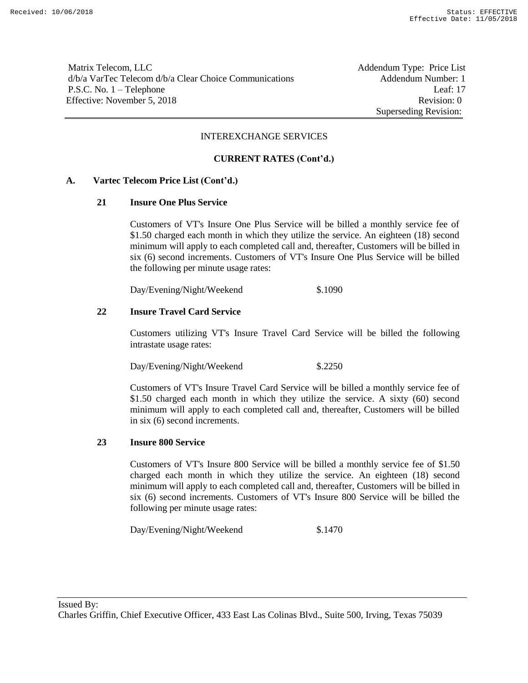Matrix Telecom, LLC **Addendum Type: Price List** d/b/a VarTec Telecom d/b/a Clear Choice Communications Addendum Number: 1 P.S.C. No. 1 – Telephone Leaf: 17 Effective: November 5, 2018 Revision: 0

Superseding Revision:

#### INTEREXCHANGE SERVICES

#### **CURRENT RATES (Cont'd.)**

#### **A. Vartec Telecom Price List (Cont'd.)**

#### **21 Insure One Plus Service**

Customers of VT's Insure One Plus Service will be billed a monthly service fee of \$1.50 charged each month in which they utilize the service. An eighteen (18) second minimum will apply to each completed call and, thereafter, Customers will be billed in six (6) second increments. Customers of VT's Insure One Plus Service will be billed the following per minute usage rates:

Day/Evening/Night/Weekend \$.1090

#### **22 Insure Travel Card Service**

Customers utilizing VT's Insure Travel Card Service will be billed the following intrastate usage rates:

Day/Evening/Night/Weekend \$.2250

Customers of VT's Insure Travel Card Service will be billed a monthly service fee of \$1.50 charged each month in which they utilize the service. A sixty (60) second minimum will apply to each completed call and, thereafter, Customers will be billed in six (6) second increments.

### **23 Insure 800 Service**

Customers of VT's Insure 800 Service will be billed a monthly service fee of \$1.50 charged each month in which they utilize the service. An eighteen (18) second minimum will apply to each completed call and, thereafter, Customers will be billed in six (6) second increments. Customers of VT's Insure 800 Service will be billed the following per minute usage rates:

Day/Evening/Night/Weekend \$.1470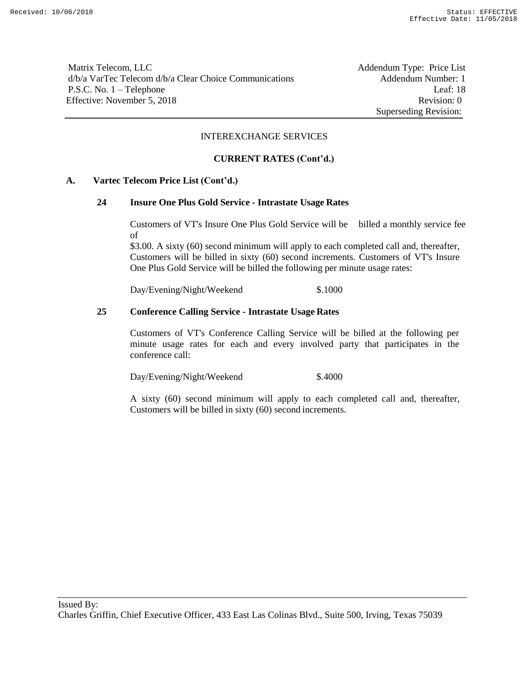Matrix Telecom, LLC Addendum Type: Price List d/b/a VarTec Telecom d/b/a Clear Choice Communications Addendum Number: 1 P.S.C. No. 1 – Telephone Leaf: 18 Effective: November 5, 2018 Revision: 0

Superseding Revision:

#### INTEREXCHANGE SERVICES

### **CURRENT RATES (Cont'd.)**

### **A. Vartec Telecom Price List (Cont'd.)**

#### **24 Insure One Plus Gold Service - Intrastate Usage Rates**

Customers of VT's Insure One Plus Gold Service will be billed a monthly service fee of

\$3.00. A sixty (60) second minimum will apply to each completed call and, thereafter, Customers will be billed in sixty (60) second increments. Customers of VT's Insure One Plus Gold Service will be billed the following per minute usage rates:

Day/Evening/Night/Weekend \$.1000

### **25 Conference Calling Service - Intrastate Usage Rates**

Customers of VT's Conference Calling Service will be billed at the following per minute usage rates for each and every involved party that participates in the conference call:

Day/Evening/Night/Weekend \$.4000

A sixty (60) second minimum will apply to each completed call and, thereafter, Customers will be billed in sixty (60) second increments.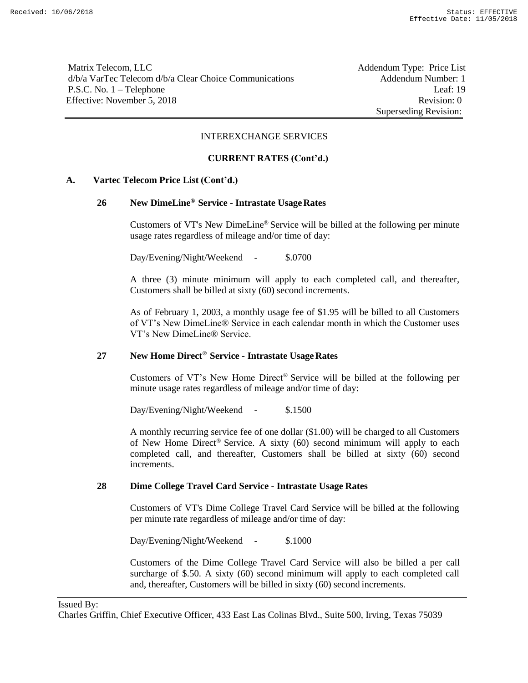Matrix Telecom, LLC **Addendum Type: Price List** d/b/a VarTec Telecom d/b/a Clear Choice Communications Addendum Number: 1 P.S.C. No. 1 – Telephone Leaf: 19 Effective: November 5, 2018 Revision: 0

Superseding Revision:

#### INTEREXCHANGE SERVICES

#### **CURRENT RATES (Cont'd.)**

### **A. Vartec Telecom Price List (Cont'd.)**

# **26 New DimeLine® Service - Intrastate UsageRates**

Customers of VT's New DimeLine® Service will be billed at the following per minute usage rates regardless of mileage and/or time of day:

Day/Evening/Night/Weekend - \$.0700

A three (3) minute minimum will apply to each completed call, and thereafter, Customers shall be billed at sixty (60) second increments.

As of February 1, 2003, a monthly usage fee of \$1.95 will be billed to all Customers of VT's New DimeLine® Service in each calendar month in which the Customer uses VT's New DimeLine® Service.

# **27 New Home Direct® Service - Intrastate UsageRates**

Customers of VT's New Home Direct® Service will be billed at the following per minute usage rates regardless of mileage and/or time of day:

Day/Evening/Night/Weekend - \$.1500

A monthly recurring service fee of one dollar (\$1.00) will be charged to all Customers of New Home Direct® Service. A sixty (60) second minimum will apply to each completed call, and thereafter, Customers shall be billed at sixty (60) second increments.

#### **28 Dime College Travel Card Service - Intrastate Usage Rates**

Customers of VT's Dime College Travel Card Service will be billed at the following per minute rate regardless of mileage and/or time of day:

Day/Evening/Night/Weekend - \$.1000

Customers of the Dime College Travel Card Service will also be billed a per call surcharge of \$.50. A sixty (60) second minimum will apply to each completed call and, thereafter, Customers will be billed in sixty (60) second increments.

### Issued By:

Charles Griffin, Chief Executive Officer, 433 East Las Colinas Blvd., Suite 500, Irving, Texas 75039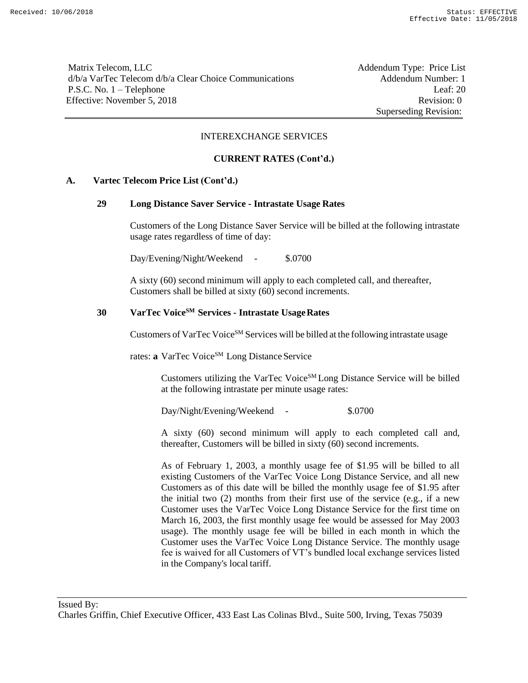Matrix Telecom, LLC **Addendum Type: Price List** d/b/a VarTec Telecom d/b/a Clear Choice Communications Addendum Number: 1 P.S.C. No. 1 – Telephone Leaf: 20 Effective: November 5, 2018 Revision: 0

Superseding Revision:

#### INTEREXCHANGE SERVICES

#### **CURRENT RATES (Cont'd.)**

### **A. Vartec Telecom Price List (Cont'd.)**

#### **29 Long Distance Saver Service - Intrastate Usage Rates**

Customers of the Long Distance Saver Service will be billed at the following intrastate usage rates regardless of time of day:

Day/Evening/Night/Weekend - \$.0700

A sixty (60) second minimum will apply to each completed call, and thereafter, Customers shall be billed at sixty (60) second increments.

# **30 VarTec VoiceSM Services - Intrastate UsageRates**

Customers of VarTec Voice<sup>SM</sup> Services will be billed at the following intrastate usage

rates: **a** VarTec Voice<sup>SM</sup> Long Distance Service

Customers utilizing the VarTec VoiceSM Long Distance Service will be billed at the following intrastate per minute usage rates:

Day/Night/Evening/Weekend - \$.0700

A sixty (60) second minimum will apply to each completed call and, thereafter, Customers will be billed in sixty (60) second increments.

As of February 1, 2003, a monthly usage fee of \$1.95 will be billed to all existing Customers of the VarTec Voice Long Distance Service, and all new Customers as of this date will be billed the monthly usage fee of \$1.95 after the initial two (2) months from their first use of the service (e.g., if a new Customer uses the VarTec Voice Long Distance Service for the first time on March 16, 2003, the first monthly usage fee would be assessed for May 2003 usage). The monthly usage fee will be billed in each month in which the Customer uses the VarTec Voice Long Distance Service. The monthly usage fee is waived for all Customers of VT's bundled local exchange services listed in the Company's local tariff.

Issued By: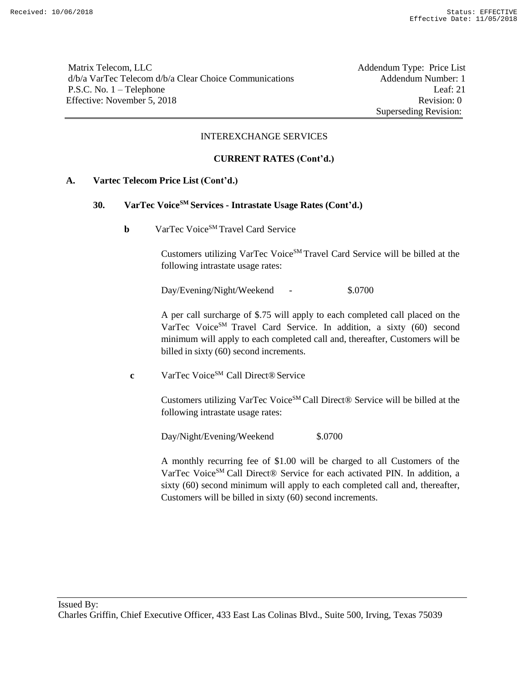Matrix Telecom, LLC **Addendum Type: Price List** d/b/a VarTec Telecom d/b/a Clear Choice Communications Addendum Number: 1 P.S.C. No. 1 – Telephone Leaf: 21 Effective: November 5, 2018 Revision: 0

Superseding Revision:

#### INTEREXCHANGE SERVICES

### **CURRENT RATES (Cont'd.)**

### **A. Vartec Telecom Price List (Cont'd.)**

### **30. VarTec VoiceSM Services - Intrastate Usage Rates (Cont'd.)**

**b** VarTec Voice<sup>SM</sup> Travel Card Service

Customers utilizing VarTec Voice<sup>SM</sup> Travel Card Service will be billed at the following intrastate usage rates:

Day/Evening/Night/Weekend - \$.0700

A per call surcharge of \$.75 will apply to each completed call placed on the VarTec Voice<sup>SM</sup> Travel Card Service. In addition, a sixty (60) second minimum will apply to each completed call and, thereafter, Customers will be billed in sixty (60) second increments.

**c** VarTec Voice<sup>SM</sup> Call Direct® Service

Customers utilizing VarTec Voice<sup>SM</sup> Call Direct® Service will be billed at the following intrastate usage rates:

Day/Night/Evening/Weekend \$.0700

A monthly recurring fee of \$1.00 will be charged to all Customers of the VarTec Voice<sup>SM</sup> Call Direct® Service for each activated PIN. In addition, a sixty (60) second minimum will apply to each completed call and, thereafter, Customers will be billed in sixty (60) second increments.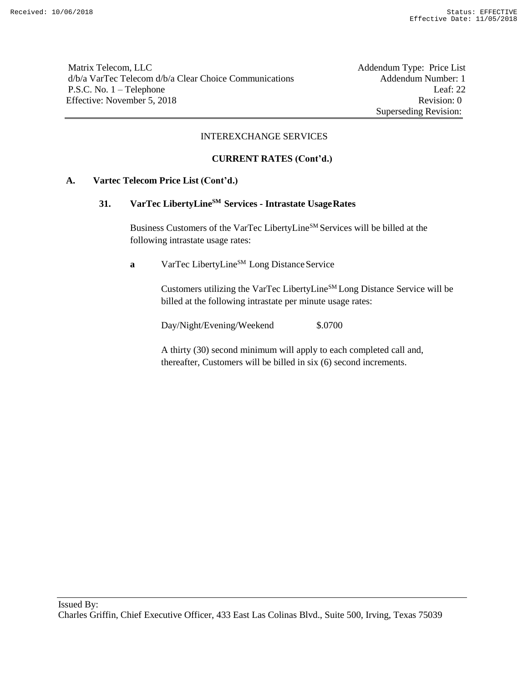Matrix Telecom, LLC Addendum Type: Price List d/b/a VarTec Telecom d/b/a Clear Choice Communications Addendum Number: 1 P.S.C. No. 1 – Telephone Leaf: 22 Effective: November 5, 2018 Revision: 0

Superseding Revision:

#### INTEREXCHANGE SERVICES

### **CURRENT RATES (Cont'd.)**

### **A. Vartec Telecom Price List (Cont'd.)**

# **31. VarTec LibertyLineSM Services - Intrastate UsageRates**

Business Customers of the VarTec LibertyLine<sup>SM</sup> Services will be billed at the following intrastate usage rates:

**a** VarTec LibertyLine<sup>SM</sup> Long Distance Service

Customers utilizing the VarTec LibertyLineSM Long Distance Service will be billed at the following intrastate per minute usage rates:

Day/Night/Evening/Weekend \$.0700

A thirty (30) second minimum will apply to each completed call and, thereafter, Customers will be billed in six (6) second increments.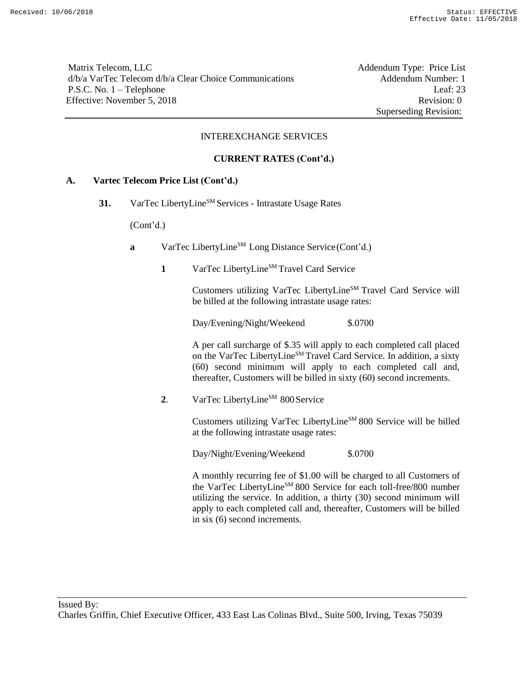Matrix Telecom, LLC **Addendum Type: Price List** d/b/a VarTec Telecom d/b/a Clear Choice Communications Addendum Number: 1 P.S.C. No. 1 – Telephone Leaf: 23 Effective: November 5, 2018 Revision: 0

Superseding Revision:

### INTEREXCHANGE SERVICES

### **CURRENT RATES (Cont'd.)**

### **A. Vartec Telecom Price List (Cont'd.)**

31. VarTec LibertyLine<sup>SM</sup> Services - Intrastate Usage Rates

(Cont'd.)

- **a** VarTec LibertyLine<sup>SM</sup> Long Distance Service (Cont'd.)
	- 1 VarTec LibertyLine<sup>SM</sup> Travel Card Service

Customers utilizing VarTec LibertyLineSM Travel Card Service will be billed at the following intrastate usage rates:

Day/Evening/Night/Weekend \$.0700

A per call surcharge of \$.35 will apply to each completed call placed on the VarTec LibertyLine<sup>SM</sup> Travel Card Service. In addition, a sixty (60) second minimum will apply to each completed call and, thereafter, Customers will be billed in sixty (60) second increments.

2. VarTec LibertyLine<sup>SM</sup> 800 Service

Customers utilizing VarTec LibertyLineSM 800 Service will be billed at the following intrastate usage rates:

Day/Night/Evening/Weekend \$.0700

A monthly recurring fee of \$1.00 will be charged to all Customers of the VarTec LibertyLineSM 800 Service for each toll-free/800 number utilizing the service. In addition, a thirty (30) second minimum will apply to each completed call and, thereafter, Customers will be billed in six (6) second increments.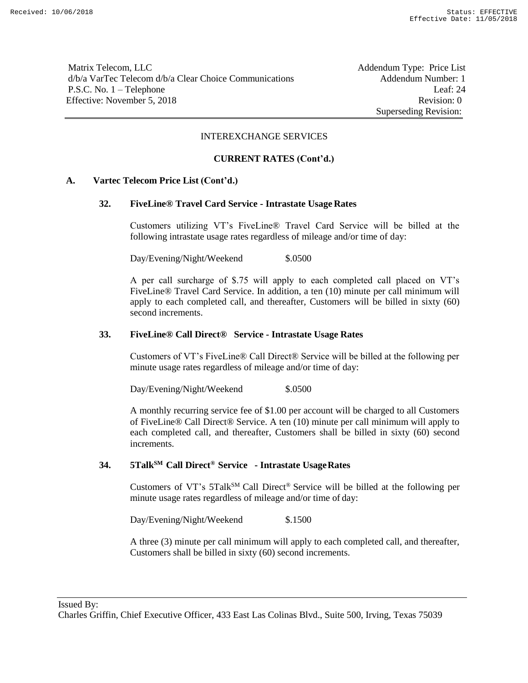Matrix Telecom, LLC **Addendum Type: Price List** d/b/a VarTec Telecom d/b/a Clear Choice Communications Addendum Number: 1 P.S.C. No. 1 – Telephone Leaf: 24 Effective: November 5, 2018 Revision: 0

Superseding Revision:

### INTEREXCHANGE SERVICES

### **CURRENT RATES (Cont'd.)**

### **A. Vartec Telecom Price List (Cont'd.)**

### **32. FiveLine® Travel Card Service - Intrastate Usage Rates**

Customers utilizing VT's FiveLine® Travel Card Service will be billed at the following intrastate usage rates regardless of mileage and/or time of day:

Day/Evening/Night/Weekend \$.0500

A per call surcharge of \$.75 will apply to each completed call placed on VT's FiveLine® Travel Card Service. In addition, a ten (10) minute per call minimum will apply to each completed call, and thereafter, Customers will be billed in sixty (60) second increments.

#### **33. FiveLine® Call Direct® Service - Intrastate Usage Rates**

Customers of VT's FiveLine® Call Direct® Service will be billed at the following per minute usage rates regardless of mileage and/or time of day:

Day/Evening/Night/Weekend \$.0500

A monthly recurring service fee of \$1.00 per account will be charged to all Customers of FiveLine® Call Direct® Service. A ten (10) minute per call minimum will apply to each completed call, and thereafter, Customers shall be billed in sixty (60) second increments.

# **34. 5TalkSM Call Direct® Service - Intrastate UsageRates**

Customers of VT's 5TalkSM Call Direct® Service will be billed at the following per minute usage rates regardless of mileage and/or time of day:

Day/Evening/Night/Weekend \$.1500

A three (3) minute per call minimum will apply to each completed call, and thereafter, Customers shall be billed in sixty (60) second increments.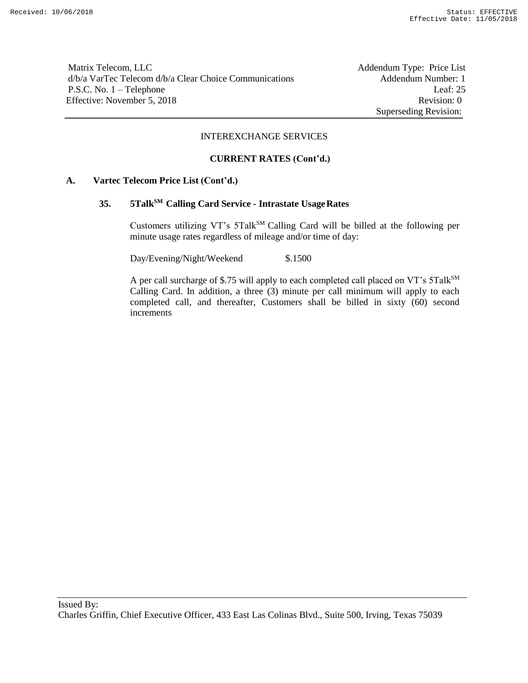Matrix Telecom, LLC Addendum Type: Price List d/b/a VarTec Telecom d/b/a Clear Choice Communications Addendum Number: 1 P.S.C. No. 1 – Telephone Leaf: 25 Effective: November 5, 2018 Revision: 0

Superseding Revision:

#### INTEREXCHANGE SERVICES

### **CURRENT RATES (Cont'd.)**

### **A. Vartec Telecom Price List (Cont'd.)**

# **35. 5TalkSM Calling Card Service - Intrastate UsageRates**

Customers utilizing VT's 5Talk<sup>SM</sup> Calling Card will be billed at the following per minute usage rates regardless of mileage and/or time of day:

Day/Evening/Night/Weekend \$.1500

A per call surcharge of \$.75 will apply to each completed call placed on VT's 5Talk<sup>SM</sup> Calling Card. In addition, a three (3) minute per call minimum will apply to each completed call, and thereafter, Customers shall be billed in sixty (60) second increments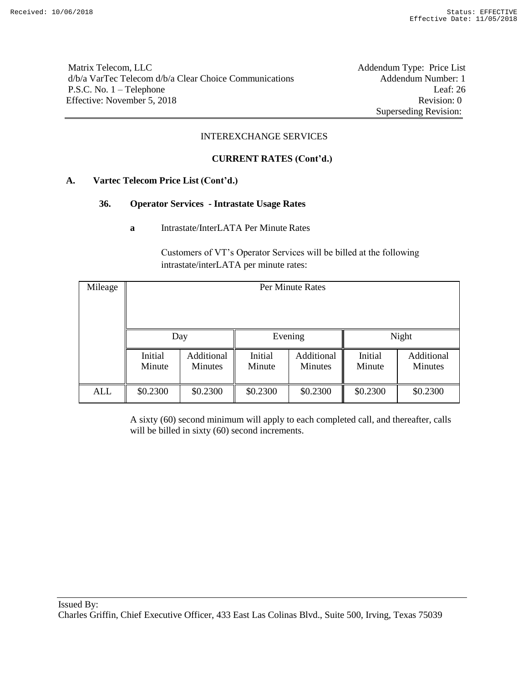Matrix Telecom, LLC Addendum Type: Price List d/b/a VarTec Telecom d/b/a Clear Choice Communications Addendum Number: 1 P.S.C. No. 1 – Telephone Leaf: 26 Effective: November 5, 2018 Revision: 0

Superseding Revision:

### INTEREXCHANGE SERVICES

### **CURRENT RATES (Cont'd.)**

### **A. Vartec Telecom Price List (Cont'd.)**

### **36. Operator Services - Intrastate Usage Rates**

**a** Intrastate/InterLATA Per Minute Rates

Customers of VT's Operator Services will be billed at the following intrastate/interLATA per minute rates:

| Mileage | Per Minute Rates  |                       |                   |                              |                   |                              |  |
|---------|-------------------|-----------------------|-------------------|------------------------------|-------------------|------------------------------|--|
|         |                   |                       |                   |                              |                   |                              |  |
|         |                   | Day                   |                   | Evening                      | Night             |                              |  |
|         | Initial<br>Minute | Additional<br>Minutes | Initial<br>Minute | Additional<br><b>Minutes</b> | Initial<br>Minute | Additional<br><b>Minutes</b> |  |
| ALL     | \$0.2300          | \$0.2300              | \$0.2300          | \$0.2300                     | \$0.2300          | \$0.2300                     |  |

A sixty (60) second minimum will apply to each completed call, and thereafter, calls will be billed in sixty (60) second increments.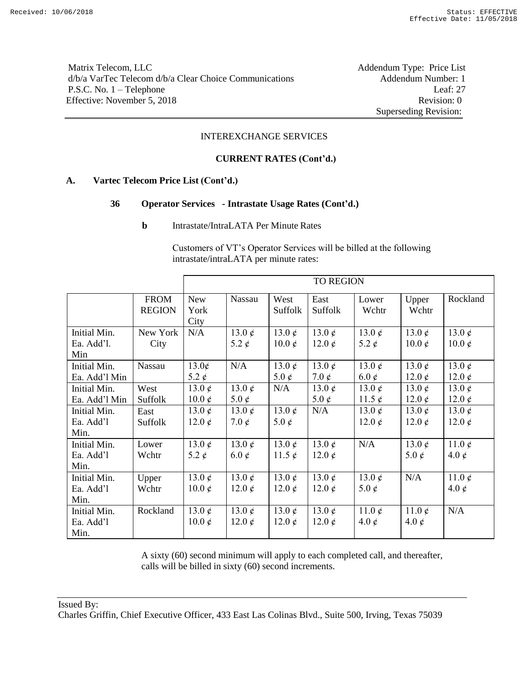Matrix Telecom, LLC Addendum Type: Price List d/b/a VarTec Telecom d/b/a Clear Choice Communications Addendum Number: 1 P.S.C. No. 1 – Telephone Leaf: 27 Effective: November 5, 2018 Revision: 0

Superseding Revision:

#### INTEREXCHANGE SERVICES

### **CURRENT RATES (Cont'd.)**

### **A. Vartec Telecom Price List (Cont'd.)**

### **36 Operator Services - Intrastate Usage Rates (Cont'd.)**

**b** Intrastate/IntraLATA Per Minute Rates

Customers of VT's Operator Services will be billed at the following intrastate/intraLATA per minute rates:

|                                   |                              |                                |                            |                              | <b>TO REGION</b>               |                                |                               |                                   |
|-----------------------------------|------------------------------|--------------------------------|----------------------------|------------------------------|--------------------------------|--------------------------------|-------------------------------|-----------------------------------|
|                                   | <b>FROM</b><br><b>REGION</b> | New<br>York<br>City            | Nassau                     | West<br>Suffolk              | East<br>Suffolk                | Lower<br>Wchtr                 | Upper<br>Wchtr                | Rockland                          |
| Initial Min.<br>Ea. Add'l.<br>Min | New York<br>City             | N/A                            | 13.0 $\phi$<br>5.2 $\phi$  | 13.0 $\phi$<br>$10.0 \notin$ | 13.0 $\rlap{/}$<br>12.0 $\phi$ | 13.0 $\phi$<br>5.2 $\phi$      | 13.0 $\phi$<br>$10.0 \notin$  | 13.0 $\phi$<br>$10.0 \notin$      |
| Initial Min.<br>Ea. Add'l Min     | Nassau                       | 13.0¢<br>5.2 $\phi$            | N/A                        | 13.0 $\phi$<br>5.0 $\phi$    | 13.0 $\phi$<br>7.0 $\phi$      | 13.0 $\rlap{/}$<br>6.0 $\phi$  | 13.0 $\phi$<br>12.0 $\phi$    | 13.0 $\phi$<br>12.0 $\phi$        |
| Initial Min.<br>Ea. Add'l Min     | West<br>Suffolk              | 13.0 $\phi$<br>$10.0 \notin$   | 13.0 $\phi$<br>5.0 $\phi$  | N/A                          | 13.0 $\phi$<br>5.0 $\phi$      | 13.0 $\phi$<br>11.5 $\phi$     | 13.0 $\phi$<br>12.0 $\phi$    | 13.0 $\phi$<br>12.0 $\phi$        |
| Initial Min.<br>Ea. Add'l<br>Min. | East<br>Suffolk              | 13.0 $\phi$<br>12.0 $\rlap{/}$ | 13.0 $\phi$<br>7.0 $\phi$  | 13.0 $\phi$<br>5.0 $\phi$    | N/A                            | 13.0 $\phi$<br>12.0 $\rlap{/}$ | 13.0 $\phi$<br>12.0 $\phi$    | 13.0 $\phi$<br>12.0 $\rlap{/}$    |
| Initial Min.<br>Ea. Add'l<br>Min. | Lower<br>Wchtr               | 13.0 $\phi$<br>5.2 $\rlap{/}$  | 13.0 $\phi$<br>6.0 $\phi$  | 13.0 $\phi$<br>11.5 $\phi$   | 13.0 $\phi$<br>12.0 $\phi$     | N/A                            | 13.0 $\phi$<br>5.0 $\rlap{/}$ | 11.0 $\rlap{/}$<br>4.0 $\rlap{/}$ |
| Initial Min.<br>Ea. Add'l<br>Min. | Upper<br>Wchtr               | 13.0 $\phi$<br>$10.0 \notin$   | 13.0 $\phi$<br>12.0 $\phi$ | 13.0 $\phi$<br>12.0 $\phi$   | 13.0 $\phi$<br>12.0 $\phi$     | 13.0 $\rlap{/}$<br>5.0 $\phi$  | N/A                           | 11.0 $\rlap{/}$<br>4.0 $\rlap{/}$ |
| Initial Min.<br>Ea. Add'l<br>Min. | Rockland                     | 13.0 $\phi$<br>$10.0 \notin$   | 13.0 $\phi$<br>12.0 $\phi$ | 13.0 $\phi$<br>12.0 $\phi$   | 13.0 $\phi$<br>12.0 $\phi$     | 11.0 $\phi$<br>4.0 $\rlap{/}$  | 11.0 $\phi$<br>4.0 $\rlap{/}$ | N/A                               |

A sixty (60) second minimum will apply to each completed call, and thereafter, calls will be billed in sixty (60) second increments.

Issued By: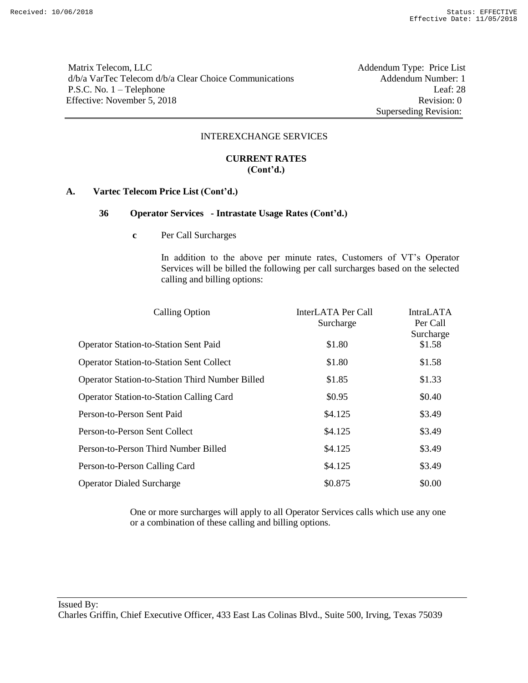Matrix Telecom, LLC<br>
d/b/a VarTec Telecom d/b/a Clear Choice Communications Addendum Number: 1  $d/b/a$  VarTec Telecom  $d/b/a$  Clear Choice Communications P.S.C. No. 1 – Telephone Leaf: 28 Effective: November 5, 2018 Revision: 0

Superseding Revision:

#### INTEREXCHANGE SERVICES

### **CURRENT RATES (Cont'd.)**

#### **A. Vartec Telecom Price List (Cont'd.)**

# **36 Operator Services - Intrastate Usage Rates (Cont'd.)**

**c** Per Call Surcharges

In addition to the above per minute rates, Customers of VT's Operator Services will be billed the following per call surcharges based on the selected calling and billing options:

| InterLATA Per Call<br>Surcharge | <b>IntraLATA</b><br>Per Call |
|---------------------------------|------------------------------|
| \$1.80                          | Surcharge<br>\$1.58          |
| \$1.80                          | \$1.58                       |
| \$1.85                          | \$1.33                       |
| \$0.95                          | \$0.40                       |
| \$4.125                         | \$3.49                       |
| \$4.125                         | \$3.49                       |
| \$4.125                         | \$3.49                       |
| \$4.125                         | \$3.49                       |
| \$0.875                         | \$0.00                       |
|                                 |                              |

One or more surcharges will apply to all Operator Services calls which use any one or a combination of these calling and billing options.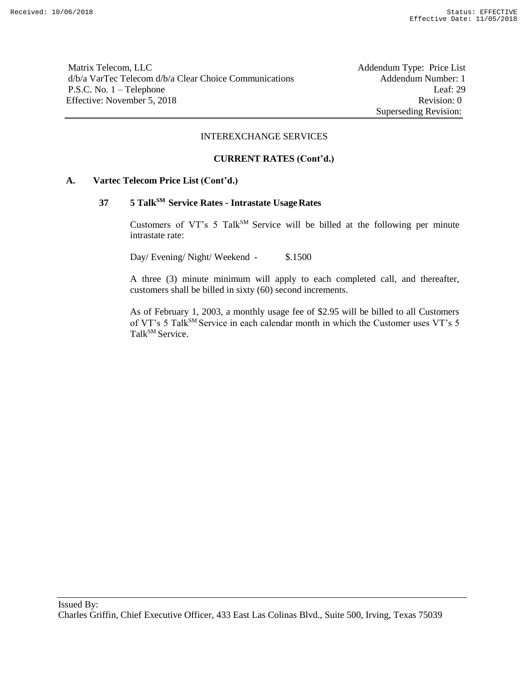Matrix Telecom, LLC Addendum Type: Price List d/b/a VarTec Telecom d/b/a Clear Choice Communications Addendum Number: 1 P.S.C. No. 1 – Telephone Leaf: 29 Effective: November 5, 2018 Revision: 0

Superseding Revision:

#### INTEREXCHANGE SERVICES

#### **CURRENT RATES (Cont'd.)**

#### **A. Vartec Telecom Price List (Cont'd.)**

# **37 5 TalkSM Service Rates - Intrastate UsageRates**

Customers of VT's 5 Talk<sup>SM</sup> Service will be billed at the following per minute intrastate rate:

Day/ Evening/ Night/ Weekend - \$.1500

A three (3) minute minimum will apply to each completed call, and thereafter, customers shall be billed in sixty (60) second increments.

As of February 1, 2003, a monthly usage fee of \$2.95 will be billed to all Customers of VT's 5 Talk<sup>SM</sup> Service in each calendar month in which the Customer uses VT's 5 Talk<sup>SM</sup> Service.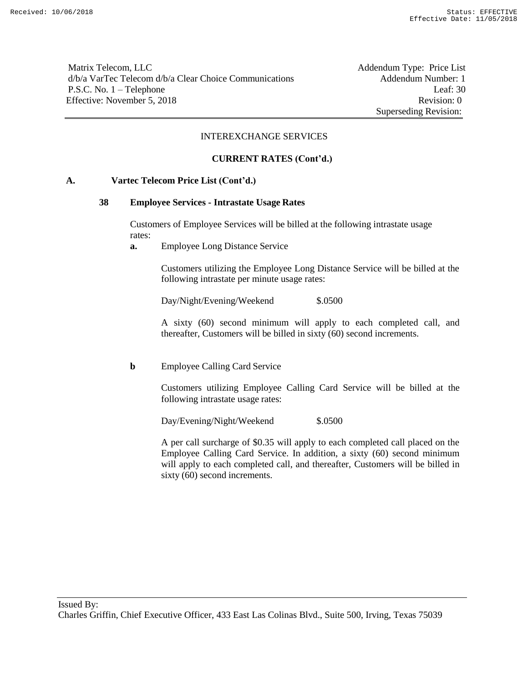Matrix Telecom, LLC Addendum Type: Price List d/b/a VarTec Telecom d/b/a Clear Choice Communications Addendum Number: 1 P.S.C. No. 1 – Telephone Leaf: 30 Effective: November 5, 2018 Revision: 0

Superseding Revision:

#### INTEREXCHANGE SERVICES

### **CURRENT RATES (Cont'd.)**

### **A. Vartec Telecom Price List (Cont'd.)**

#### **38 Employee Services - Intrastate Usage Rates**

Customers of Employee Services will be billed at the following intrastate usage rates:

**a.** Employee Long Distance Service

Customers utilizing the Employee Long Distance Service will be billed at the following intrastate per minute usage rates:

Day/Night/Evening/Weekend \$.0500

A sixty (60) second minimum will apply to each completed call, and thereafter, Customers will be billed in sixty (60) second increments.

#### **b** Employee Calling Card Service

Customers utilizing Employee Calling Card Service will be billed at the following intrastate usage rates:

Day/Evening/Night/Weekend \$.0500

A per call surcharge of \$0.35 will apply to each completed call placed on the Employee Calling Card Service. In addition, a sixty (60) second minimum will apply to each completed call, and thereafter, Customers will be billed in sixty (60) second increments.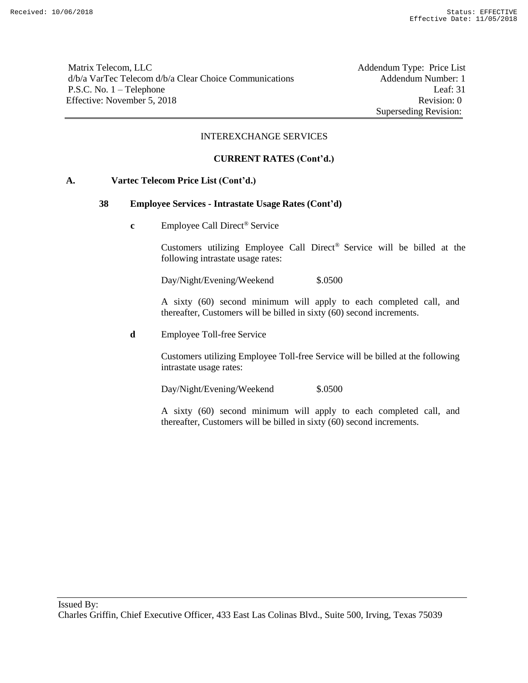Matrix Telecom, LLC Addendum Type: Price List d/b/a VarTec Telecom d/b/a Clear Choice Communications Addendum Number: 1 P.S.C. No. 1 – Telephone Leaf: 31 Effective: November 5, 2018 Revision: 0

Superseding Revision:

### INTEREXCHANGE SERVICES

### **CURRENT RATES (Cont'd.)**

### **A. Vartec Telecom Price List (Cont'd.)**

#### **38 Employee Services - Intrastate Usage Rates (Cont'd)**

**c** Employee Call Direct<sup>®</sup> Service

Customers utilizing Employee Call Direct® Service will be billed at the following intrastate usage rates:

Day/Night/Evening/Weekend \$.0500

A sixty (60) second minimum will apply to each completed call, and thereafter, Customers will be billed in sixty (60) second increments.

**d** Employee Toll-free Service

Customers utilizing Employee Toll-free Service will be billed at the following intrastate usage rates:

Day/Night/Evening/Weekend \$.0500

A sixty (60) second minimum will apply to each completed call, and thereafter, Customers will be billed in sixty (60) second increments.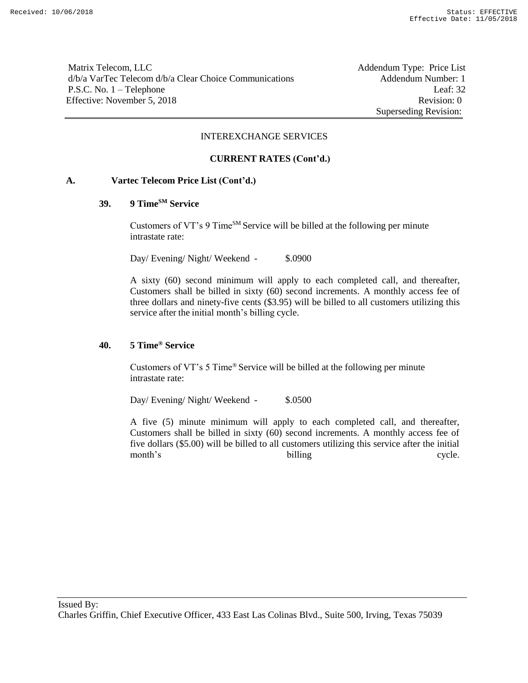Matrix Telecom, LLC Addendum Type: Price List d/b/a VarTec Telecom d/b/a Clear Choice Communications Addendum Number: 1 P.S.C. No. 1 – Telephone Leaf: 32 Effective: November 5, 2018 Revision: 0

Superseding Revision:

#### INTEREXCHANGE SERVICES

### **CURRENT RATES (Cont'd.)**

### **A. Vartec Telecom Price List (Cont'd.)**

### **39. 9 TimeSM Service**

Customers of VT's 9 Time<sup>SM</sup> Service will be billed at the following per minute intrastate rate:

Day/ Evening/ Night/ Weekend - \$.0900

A sixty (60) second minimum will apply to each completed call, and thereafter, Customers shall be billed in sixty (60) second increments. A monthly access fee of three dollars and ninety-five cents (\$3.95) will be billed to all customers utilizing this service after the initial month's billing cycle.

### **40. 5 Time® Service**

Customers of VT's 5 Time® Service will be billed at the following per minute intrastate rate:

Day/ Evening/ Night/ Weekend - \$.0500

A five (5) minute minimum will apply to each completed call, and thereafter, Customers shall be billed in sixty (60) second increments. A monthly access fee of five dollars (\$5.00) will be billed to all customers utilizing this service after the initial month's billing cycle.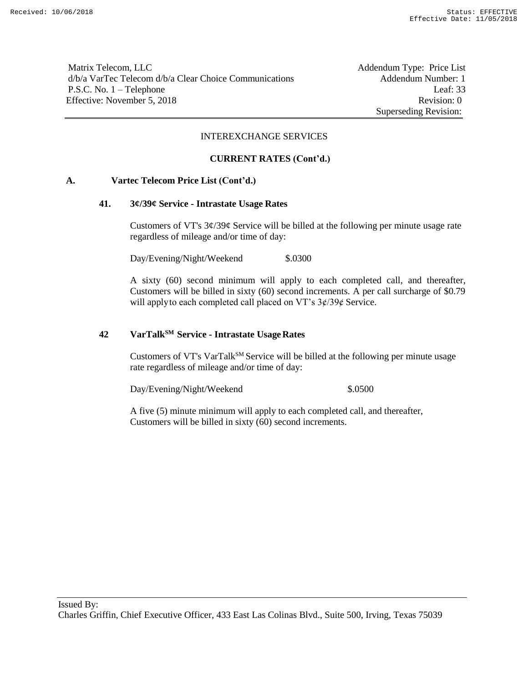Matrix Telecom, LLC Addendum Type: Price List d/b/a VarTec Telecom d/b/a Clear Choice Communications Addendum Number: 1 P.S.C. No. 1 – Telephone Leaf: 33 Effective: November 5, 2018 Revision: 0

Superseding Revision:

#### INTEREXCHANGE SERVICES

#### **CURRENT RATES (Cont'd.)**

#### **A. Vartec Telecom Price List (Cont'd.)**

#### **41. 3¢/39¢ Service - Intrastate Usage Rates**

Customers of VT's  $3\frac{\dot{\alpha}}{39\dot{\beta}}$  Service will be billed at the following per minute usage rate regardless of mileage and/or time of day:

Day/Evening/Night/Weekend \$.0300

A sixty (60) second minimum will apply to each completed call, and thereafter, Customers will be billed in sixty (60) second increments. A per call surcharge of \$0.79 will apply to each completed call placed on VT's  $3\frac{\cancel{(}7)}{3\cancel{(}}8$  Service.

# **42 VarTalkSM Service - Intrastate UsageRates**

Customers of VT's VarTal $k^{SM}$  Service will be billed at the following per minute usage rate regardless of mileage and/or time of day:

Day/Evening/Night/Weekend \$.0500

A five (5) minute minimum will apply to each completed call, and thereafter, Customers will be billed in sixty (60) second increments.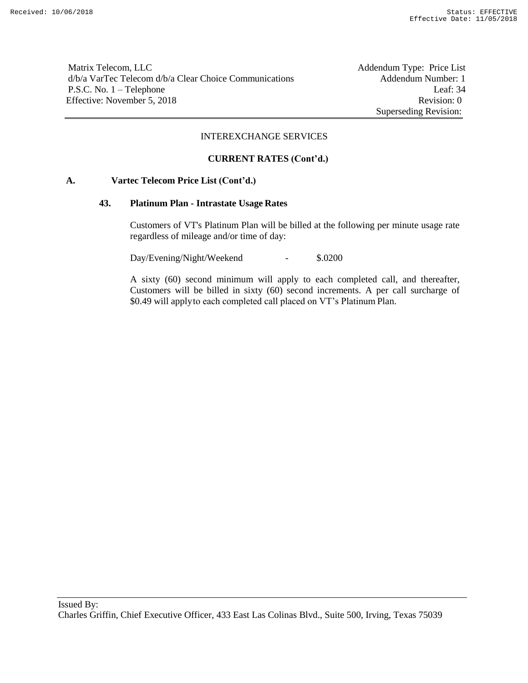Matrix Telecom, LLC Addendum Type: Price List d/b/a VarTec Telecom d/b/a Clear Choice Communications Addendum Number: 1 P.S.C. No. 1 – Telephone Leaf: 34 Effective: November 5, 2018 Revision: 0

Superseding Revision:

#### INTEREXCHANGE SERVICES

#### **CURRENT RATES (Cont'd.)**

#### **A. Vartec Telecom Price List (Cont'd.)**

#### **43. Platinum Plan - Intrastate Usage Rates**

Customers of VT's Platinum Plan will be billed at the following per minute usage rate regardless of mileage and/or time of day:

Day/Evening/Night/Weekend - \$.0200

A sixty (60) second minimum will apply to each completed call, and thereafter, Customers will be billed in sixty (60) second increments. A per call surcharge of \$0.49 will applyto each completed call placed on VT's Platinum Plan.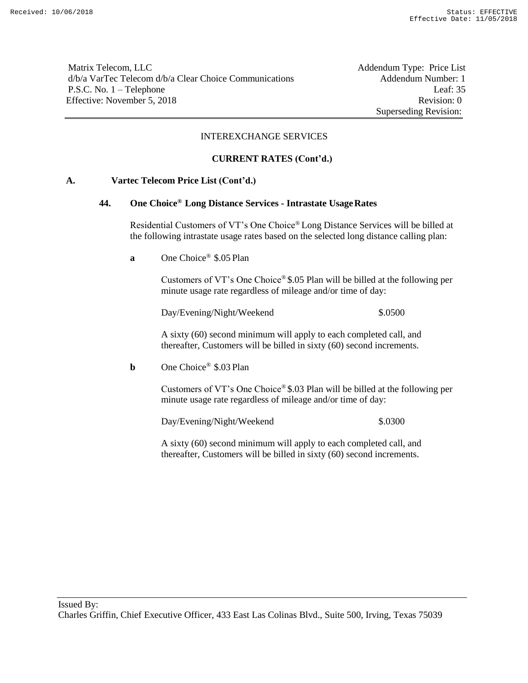Matrix Telecom, LLC Addendum Type: Price List d/b/a VarTec Telecom d/b/a Clear Choice Communications Addendum Number: 1 P.S.C. No. 1 – Telephone Leaf: 35 Effective: November 5, 2018 Revision: 0

Superseding Revision:

### INTEREXCHANGE SERVICES

### **CURRENT RATES (Cont'd.)**

### **A. Vartec Telecom Price List (Cont'd.)**

#### **44. One Choice® Long Distance Services - Intrastate UsageRates**

Residential Customers of VT's One Choice® Long Distance Services will be billed at the following intrastate usage rates based on the selected long distance calling plan:

**a** One Choice® \$.05 Plan

Customers of VT's One Choice® \$.05 Plan will be billed at the following per minute usage rate regardless of mileage and/or time of day:

Day/Evening/Night/Weekend \$.0500

A sixty (60) second minimum will apply to each completed call, and thereafter, Customers will be billed in sixty (60) second increments.

**b** One Choice<sup>®</sup> \$.03 Plan

Customers of VT's One Choice® \$.03 Plan will be billed at the following per minute usage rate regardless of mileage and/or time of day:

Day/Evening/Night/Weekend \$.0300

A sixty (60) second minimum will apply to each completed call, and thereafter, Customers will be billed in sixty (60) second increments.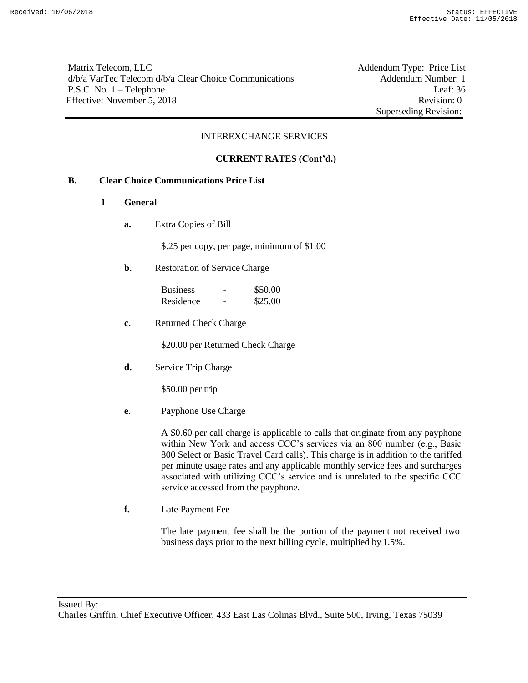Matrix Telecom, LLC Addendum Type: Price List d/b/a VarTec Telecom d/b/a Clear Choice Communications Addendum Number: 1 P.S.C. No. 1 – Telephone Leaf: 36 Effective: November 5, 2018 Revision: 0

Superseding Revision:

### INTEREXCHANGE SERVICES

### **CURRENT RATES (Cont'd.)**

### **B. Clear Choice Communications Price List**

- **1 General**
	- **a.** Extra Copies of Bill

\$.25 per copy, per page, minimum of \$1.00

**b.** Restoration of Service Charge

| <b>Business</b> | \$50.00 |
|-----------------|---------|
| Residence       | \$25.00 |

**c.** Returned Check Charge

\$20.00 per Returned Check Charge

**d.** Service Trip Charge

\$50.00 per trip

**e.** Payphone Use Charge

A \$0.60 per call charge is applicable to calls that originate from any payphone within New York and access CCC's services via an 800 number (e.g., Basic 800 Select or Basic Travel Card calls). This charge is in addition to the tariffed per minute usage rates and any applicable monthly service fees and surcharges associated with utilizing CCC's service and is unrelated to the specific CCC service accessed from the payphone.

**f.** Late Payment Fee

The late payment fee shall be the portion of the payment not received two business days prior to the next billing cycle, multiplied by 1.5%.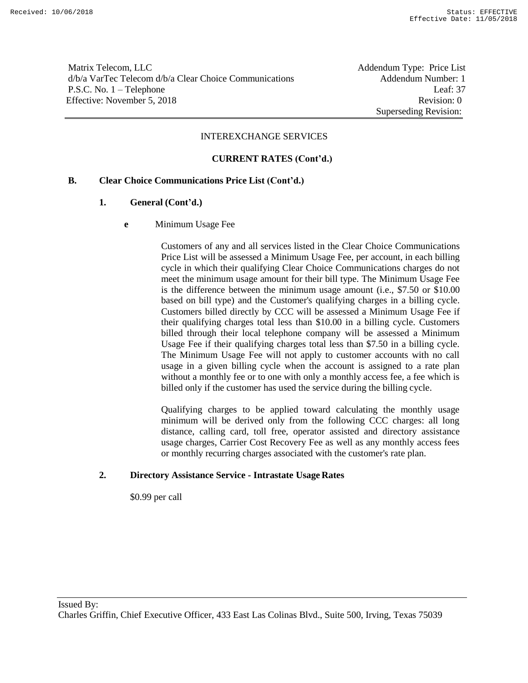Matrix Telecom, LLC **Addendum Type: Price List** d/b/a VarTec Telecom d/b/a Clear Choice Communications Addendum Number: 1 P.S.C. No. 1 – Telephone Leaf: 37 Effective: November 5, 2018 Revision: 0

Superseding Revision:

#### INTEREXCHANGE SERVICES

### **CURRENT RATES (Cont'd.)**

### **B. Clear Choice Communications Price List (Cont'd.)**

### **1. General (Cont'd.)**

**e** Minimum Usage Fee

Customers of any and all services listed in the Clear Choice Communications Price List will be assessed a Minimum Usage Fee, per account, in each billing cycle in which their qualifying Clear Choice Communications charges do not meet the minimum usage amount for their bill type. The Minimum Usage Fee is the difference between the minimum usage amount (i.e., \$7.50 or \$10.00 based on bill type) and the Customer's qualifying charges in a billing cycle. Customers billed directly by CCC will be assessed a Minimum Usage Fee if their qualifying charges total less than \$10.00 in a billing cycle. Customers billed through their local telephone company will be assessed a Minimum Usage Fee if their qualifying charges total less than \$7.50 in a billing cycle. The Minimum Usage Fee will not apply to customer accounts with no call usage in a given billing cycle when the account is assigned to a rate plan without a monthly fee or to one with only a monthly access fee, a fee which is billed only if the customer has used the service during the billing cycle.

Qualifying charges to be applied toward calculating the monthly usage minimum will be derived only from the following CCC charges: all long distance, calling card, toll free, operator assisted and directory assistance usage charges, Carrier Cost Recovery Fee as well as any monthly access fees or monthly recurring charges associated with the customer's rate plan.

#### **2. Directory Assistance Service - Intrastate Usage Rates**

\$0.99 per call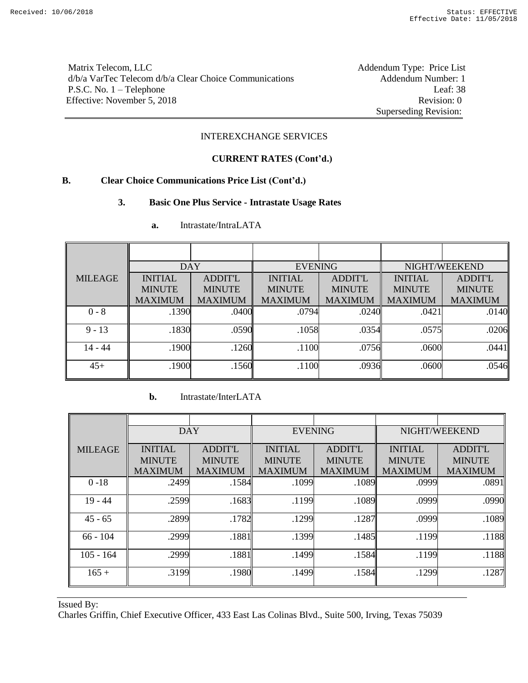Matrix Telecom, LLC Addendum Type: Price List d/b/a VarTec Telecom d/b/a Clear Choice Communications Addendum Number: 1 P.S.C. No. 1 – Telephone Leaf: 38 Effective: November 5, 2018 Revision: 0

Superseding Revision:

### INTEREXCHANGE SERVICES

### **CURRENT RATES (Cont'd.)**

### **B. Clear Choice Communications Price List (Cont'd.)**

### **3. Basic One Plus Service - Intrastate Usage Rates**

|                | <b>DAY</b>     |                | <b>EVENING</b> |                | NIGHT/WEEKEND  |                |  |
|----------------|----------------|----------------|----------------|----------------|----------------|----------------|--|
| <b>MILEAGE</b> | <b>INITIAL</b> | <b>ADDIT'L</b> | <b>INITIAL</b> | <b>ADDIT'L</b> | <b>INITIAL</b> | <b>ADDIT'L</b> |  |
|                | <b>MINUTE</b>  | <b>MINUTE</b>  | <b>MINUTE</b>  | <b>MINUTE</b>  | <b>MINUTE</b>  | <b>MINUTE</b>  |  |
|                | <b>MAXIMUM</b> | <b>MAXIMUM</b> | <b>MAXIMUM</b> | <b>MAXIMUM</b> | <b>MAXIMUM</b> | <b>MAXIMUM</b> |  |
| $0 - 8$        | .1390          | .0400          | .0794          | .0240          | .0421          | .0140          |  |
| $9 - 13$       | .1830          | .0590          | .1058          | .0354          | .0575          | .0206          |  |
| $14 - 44$      | .1900          | .1260          | .1100          | .0756          | .0600          | .0441          |  |
| $45+$          | .1900          | .1560          | .1100          | .0936          | .0600          | .0546          |  |

**a.** Intrastate/IntraLATA

# **b.** Intrastate/InterLATA

|                | <b>DAY</b>     |                | <b>EVENING</b> |                | NIGHT/WEEKEND  |                |  |
|----------------|----------------|----------------|----------------|----------------|----------------|----------------|--|
| <b>MILEAGE</b> | <b>INITIAL</b> | <b>ADDIT'L</b> | <b>INITIAL</b> | <b>ADDIT'L</b> | <b>INITIAL</b> | <b>ADDIT'L</b> |  |
|                | <b>MINUTE</b>  | <b>MINUTE</b>  | <b>MINUTE</b>  | <b>MINUTE</b>  | <b>MINUTE</b>  | <b>MINUTE</b>  |  |
|                | <b>MAXIMUM</b> | <b>MAXIMUM</b> | <b>MAXIMUM</b> | <b>MAXIMUM</b> | <b>MAXIMUM</b> | <b>MAXIMUM</b> |  |
| $0 - 18$       | .2499          | .1584          | .1099          | .1089          | .0999          | .0891          |  |
| $19 - 44$      | .2599          | .1683          | .1199          | .1089          | .0999          | .0990          |  |
| $45 - 65$      | .2899          | .1782          | .1299          | .1287          | .0999          | .1089          |  |
| $66 - 104$     | .2999          | .1881          | .1399          | .1485          | .1199          | .1188          |  |
| $105 - 164$    | .2999          | .1881          | .1499          | .1584          | .1199          | .1188          |  |
| $165 +$        | .3199          | .1980          | .1499          | .1584          | .1299          | .1287          |  |

Issued By: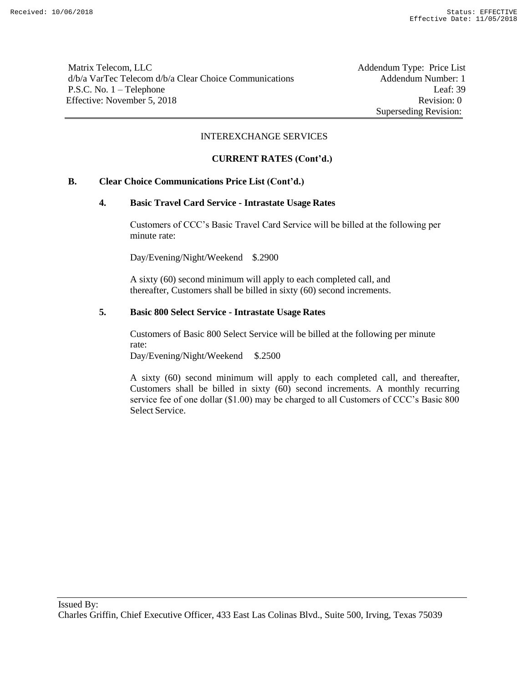Matrix Telecom, LLC Addendum Type: Price List d/b/a VarTec Telecom d/b/a Clear Choice Communications Addendum Number: 1 P.S.C. No. 1 – Telephone Leaf: 39 Effective: November 5, 2018 Revision: 0

Superseding Revision:

#### INTEREXCHANGE SERVICES

### **CURRENT RATES (Cont'd.)**

### **B. Clear Choice Communications Price List (Cont'd.)**

#### **4. Basic Travel Card Service - Intrastate Usage Rates**

Customers of CCC's Basic Travel Card Service will be billed at the following per minute rate:

Day/Evening/Night/Weekend \$.2900

A sixty (60) second minimum will apply to each completed call, and thereafter, Customers shall be billed in sixty (60) second increments.

#### **5. Basic 800 Select Service - Intrastate Usage Rates**

Customers of Basic 800 Select Service will be billed at the following per minute rate:

Day/Evening/Night/Weekend \$.2500

A sixty (60) second minimum will apply to each completed call, and thereafter, Customers shall be billed in sixty (60) second increments. A monthly recurring service fee of one dollar (\$1.00) may be charged to all Customers of CCC's Basic 800 Select Service.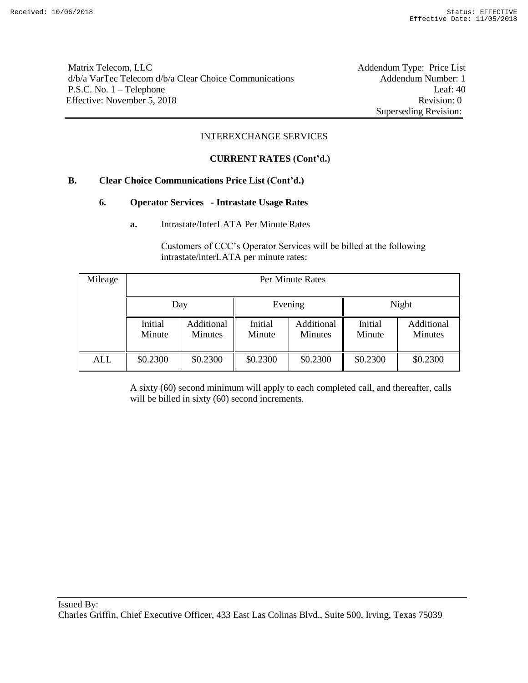Matrix Telecom, LLC Addendum Type: Price List d/b/a VarTec Telecom d/b/a Clear Choice Communications Addendum Number: 1 P.S.C. No. 1 – Telephone Leaf: 40 Effective: November 5, 2018 Revision: 0

Superseding Revision:

### INTEREXCHANGE SERVICES

### **CURRENT RATES (Cont'd.)**

### **B. Clear Choice Communications Price List (Cont'd.)**

### **6. Operator Services - Intrastate Usage Rates**

**a.** Intrastate/InterLATA Per Minute Rates

Customers of CCC's Operator Services will be billed at the following intrastate/interLATA per minute rates:

| Mileage | Per Minute Rates  |                              |                   |                              |                   |                              |  |
|---------|-------------------|------------------------------|-------------------|------------------------------|-------------------|------------------------------|--|
|         | Day               |                              |                   | Evening                      | Night             |                              |  |
|         | Initial<br>Minute | Additional<br><b>Minutes</b> | Initial<br>Minute | Additional<br><b>Minutes</b> | Initial<br>Minute | Additional<br><b>Minutes</b> |  |
| ALL     | \$0.2300          | \$0.2300                     | \$0.2300          | \$0.2300                     | \$0.2300          | \$0.2300                     |  |

A sixty (60) second minimum will apply to each completed call, and thereafter, calls will be billed in sixty (60) second increments.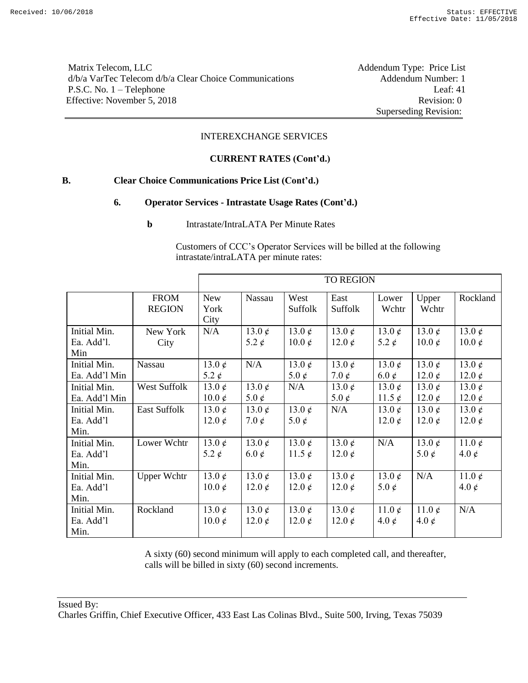Matrix Telecom, LLC Addendum Type: Price List d/b/a VarTec Telecom d/b/a Clear Choice Communications Addendum Number: 1 P.S.C. No. 1 – Telephone Leaf: 41 Effective: November 5, 2018 Revision: 0

Superseding Revision:

### INTEREXCHANGE SERVICES

#### **CURRENT RATES (Cont'd.)**

### **B. Clear Choice Communications Price List (Cont'd.)**

#### **6. Operator Services - Intrastate Usage Rates (Cont'd.)**

**b** Intrastate/IntraLATA Per Minute Rates

Customers of CCC's Operator Services will be billed at the following intrastate/intraLATA per minute rates:

|                                   |                              | <b>TO REGION</b>              |                                |                               |                            |                               |                               |                               |
|-----------------------------------|------------------------------|-------------------------------|--------------------------------|-------------------------------|----------------------------|-------------------------------|-------------------------------|-------------------------------|
|                                   | <b>FROM</b><br><b>REGION</b> | <b>New</b><br>York<br>City    | Nassau                         | West<br>Suffolk               | East<br>Suffolk            | Lower<br>Wchtr                | Upper<br>Wchtr                | Rockland                      |
| Initial Min.<br>Ea. Add'l.<br>Min | New York<br>City             | N/A                           | 13.0 $\phi$<br>5.2 $\phi$      | 13.0 $\phi$<br>$10.0 \notin$  | 13.0 $\phi$<br>12.0 $\phi$ | 13.0 $\phi$<br>5.2 $\phi$     | 13.0 $\phi$<br>$10.0 \notin$  | 13.0 $\phi$<br>$10.0 \notin$  |
| Initial Min.<br>Ea. Add'l Min     | Nassau                       | 13.0 $\phi$<br>5.2 $\phi$     | N/A                            | 13.0 $\phi$<br>5.0 $\phi$     | 13.0 $\phi$<br>7.0 $\phi$  | 13.0 $\phi$<br>6.0 $\phi$     | 13.0 $\phi$<br>12.0 $\phi$    | 13.0 $\phi$<br>12.0 $\phi$    |
| Initial Min.<br>Ea. Add'l Min     | <b>West Suffolk</b>          | 13.0 $\phi$<br>$10.0 \notin$  | 13.0 $\phi$<br>5.0 $\phi$      | N/A                           | 13.0 $\phi$<br>5.0 $\phi$  | 13.0 $\phi$<br>11.5 $\phi$    | 13.0 $\phi$<br>12.0 $\phi$    | 13.0 $\phi$<br>12.0 $\phi$    |
| Initial Min.<br>Ea. Add'l<br>Min. | <b>East Suffolk</b>          | 13.0 $\phi$<br>12.0 $\phi$    | 13.0 $\phi$<br>7.0 $\rlap{/}$  | 13.0 $\phi$<br>5.0 $\rlap{/}$ | N/A                        | 13.0 $\phi$<br>12.0 $\phi$    | 13.0 $\phi$<br>12.0 $\phi$    | 13.0 $\phi$<br>12.0 $\phi$    |
| Initial Min.<br>Ea. Add'l<br>Min. | Lower Wchtr                  | 13.0 $\phi$<br>5.2 $\rlap{/}$ | 13.0 $\phi$<br>$6.0 \notin$    | 13.0 $\phi$<br>11.5 $\phi$    | 13.0 $\phi$<br>12.0 $\phi$ | N/A                           | 13.0 $\phi$<br>5.0 $\rlap{/}$ | 11.0 $\phi$<br>4.0 $\rlap{/}$ |
| Initial Min.<br>Ea. Add'l<br>Min. | <b>Upper Wchtr</b>           | 13.0 $\phi$<br>$10.0 \notin$  | 13.0 $\phi$<br>12.0 $\rlap{/}$ | 13.0 $\phi$<br>12.0 $\phi$    | 13.0 $\phi$<br>12.0 $\phi$ | 13.0 $\phi$<br>5.0 $\phi$     | N/A                           | 11.0 $\phi$<br>4.0 $\rlap{/}$ |
| Initial Min.<br>Ea. Add'l<br>Min. | Rockland                     | 13.0 $\phi$<br>$10.0 \notin$  | 13.0 $\phi$<br>12.0 $\phi$     | 13.0 $\phi$<br>12.0 $\phi$    | 13.0 $\phi$<br>12.0 $\phi$ | 11.0 $\phi$<br>4.0 $\rlap{/}$ | 11.0 $\phi$<br>4.0 $\rlap{/}$ | N/A                           |

A sixty (60) second minimum will apply to each completed call, and thereafter, calls will be billed in sixty (60) second increments.

#### Issued By: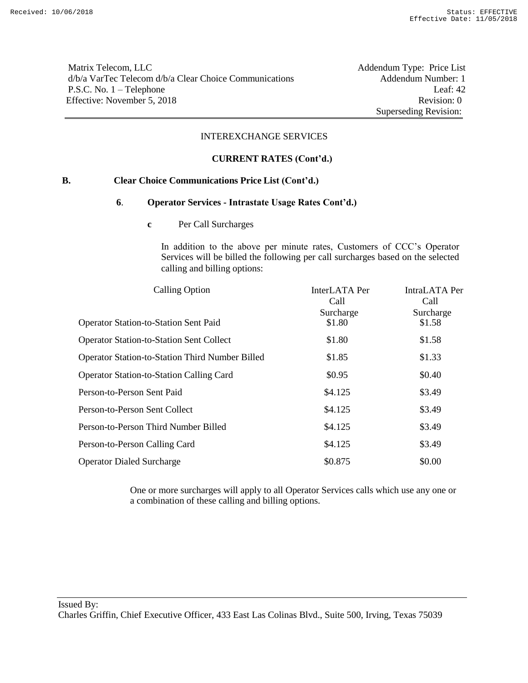Matrix Telecom, LLC Addendum Type: Price List d/b/a VarTec Telecom d/b/a Clear Choice Communications Addendum Number: 1 P.S.C. No. 1 – Telephone Leaf: 42 Effective: November 5, 2018 Revision: 0

Superseding Revision:

### INTEREXCHANGE SERVICES

### **CURRENT RATES (Cont'd.)**

### **B. Clear Choice Communications Price List (Cont'd.)**

#### **6**. **Operator Services - Intrastate Usage Rates Cont'd.)**

**c** Per Call Surcharges

In addition to the above per minute rates, Customers of CCC's Operator Services will be billed the following per call surcharges based on the selected calling and billing options:

| <b>Calling Option</b>                                  | InterLATA Per<br>Call | IntraLATA Per<br>Call |  |
|--------------------------------------------------------|-----------------------|-----------------------|--|
| <b>Operator Station-to-Station Sent Paid</b>           | Surcharge<br>\$1.80   | Surcharge<br>\$1.58   |  |
| <b>Operator Station-to-Station Sent Collect</b>        | \$1.80                | \$1.58                |  |
| <b>Operator Station-to-Station Third Number Billed</b> | \$1.85                | \$1.33                |  |
| <b>Operator Station-to-Station Calling Card</b>        | \$0.95                | \$0.40                |  |
| Person-to-Person Sent Paid                             | \$4.125               | \$3.49                |  |
| Person-to-Person Sent Collect                          | \$4.125               | \$3.49                |  |
| Person-to-Person Third Number Billed                   | \$4.125               | \$3.49                |  |
| Person-to-Person Calling Card                          | \$4.125               | \$3.49                |  |
| <b>Operator Dialed Surcharge</b>                       | \$0.875               | \$0.00                |  |

One or more surcharges will apply to all Operator Services calls which use any one or a combination of these calling and billing options.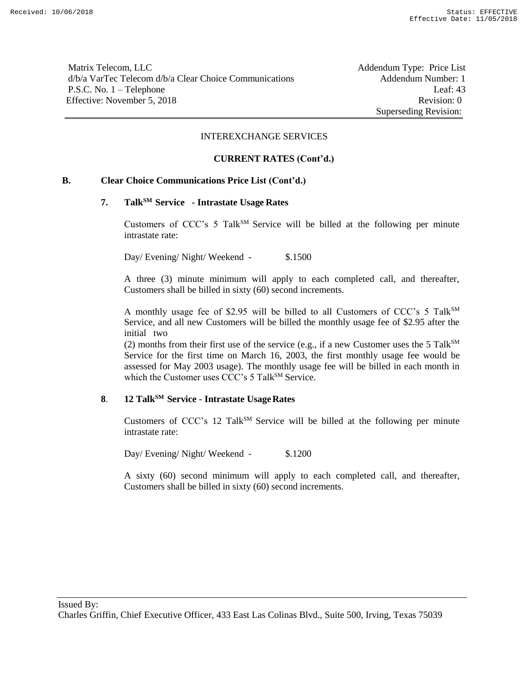Matrix Telecom, LLC **Addendum Type: Price List** d/b/a VarTec Telecom d/b/a Clear Choice Communications Addendum Number: 1 P.S.C. No. 1 – Telephone Leaf: 43 Effective: November 5, 2018 Revision: 0

Superseding Revision:

#### INTEREXCHANGE SERVICES

#### **CURRENT RATES (Cont'd.)**

### **B. Clear Choice Communications Price List (Cont'd.)**

# **7. TalkSM Service - Intrastate Usage Rates**

Customers of CCC's 5 Talk<sup>SM</sup> Service will be billed at the following per minute intrastate rate:

Day/ Evening/ Night/ Weekend - \$.1500

A three (3) minute minimum will apply to each completed call, and thereafter, Customers shall be billed in sixty (60) second increments.

A monthly usage fee of \$2.95 will be billed to all Customers of CCC's 5 Talk $^{SM}$ Service, and all new Customers will be billed the monthly usage fee of \$2.95 after the initial two

(2) months from their first use of the service (e.g., if a new Customer uses the 5 Talk<sup>SM</sup> Service for the first time on March 16, 2003, the first monthly usage fee would be assessed for May 2003 usage). The monthly usage fee will be billed in each month in which the Customer uses CCC's 5 Talk<sup>SM</sup> Service.

# **8**. **12 TalkSM Service - Intrastate UsageRates**

Customers of CCC's 12 Talk<sup>SM</sup> Service will be billed at the following per minute intrastate rate:

Day/ Evening/ Night/ Weekend - \$.1200

A sixty (60) second minimum will apply to each completed call, and thereafter, Customers shall be billed in sixty (60) second increments.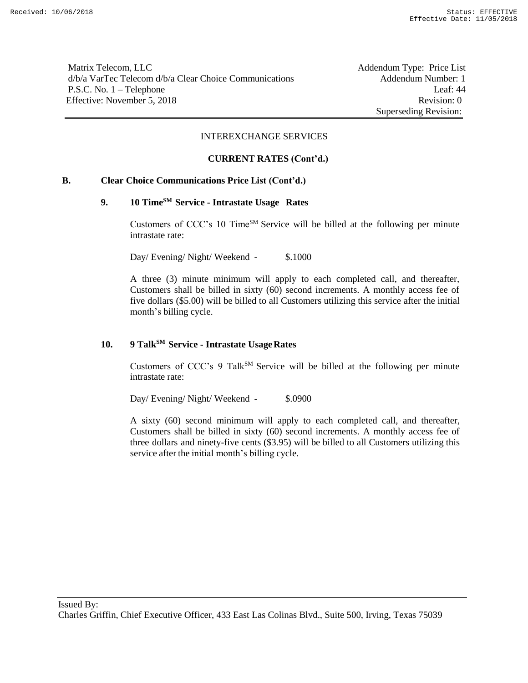Matrix Telecom, LLC **Addendum Type: Price List** d/b/a VarTec Telecom d/b/a Clear Choice Communications Addendum Number: 1 P.S.C. No. 1 – Telephone Leaf: 44 Effective: November 5, 2018 Revision: 0

Superseding Revision:

#### INTEREXCHANGE SERVICES

#### **CURRENT RATES (Cont'd.)**

### **B. Clear Choice Communications Price List (Cont'd.)**

# **9. 10 TimeSM Service - Intrastate Usage Rates**

Customers of CCC's 10 TimeSM Service will be billed at the following per minute intrastate rate:

Day/ Evening/ Night/ Weekend - \$.1000

A three (3) minute minimum will apply to each completed call, and thereafter, Customers shall be billed in sixty (60) second increments. A monthly access fee of five dollars (\$5.00) will be billed to all Customers utilizing this service after the initial month's billing cycle.

# **10. 9 TalkSM Service - Intrastate UsageRates**

Customers of CCC's 9 Talk<sup>SM</sup> Service will be billed at the following per minute intrastate rate:

Day/ Evening/ Night/ Weekend - \$.0900

A sixty (60) second minimum will apply to each completed call, and thereafter, Customers shall be billed in sixty (60) second increments. A monthly access fee of three dollars and ninety-five cents (\$3.95) will be billed to all Customers utilizing this service after the initial month's billing cycle.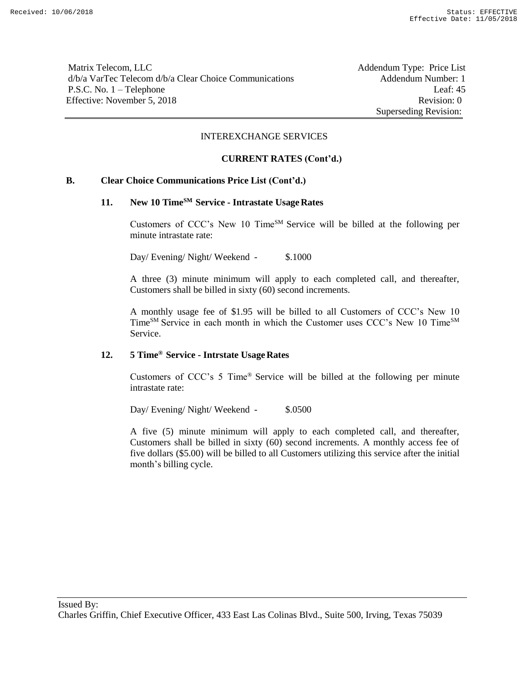Matrix Telecom, LLC **Addendum Type: Price List** d/b/a VarTec Telecom d/b/a Clear Choice Communications Addendum Number: 1 P.S.C. No. 1 – Telephone Leaf: 45 Effective: November 5, 2018 Revision: 0

Superseding Revision:

#### INTEREXCHANGE SERVICES

#### **CURRENT RATES (Cont'd.)**

### **B. Clear Choice Communications Price List (Cont'd.)**

# **11. New 10 TimeSM Service - Intrastate UsageRates**

Customers of CCC's New 10 Time<sup>SM</sup> Service will be billed at the following per minute intrastate rate:

Day/ Evening/ Night/ Weekend - \$.1000

A three (3) minute minimum will apply to each completed call, and thereafter, Customers shall be billed in sixty (60) second increments.

A monthly usage fee of \$1.95 will be billed to all Customers of CCC's New 10 Time<sup>SM</sup> Service in each month in which the Customer uses CCC's New 10 Time<sup>SM</sup> Service.

### **12. 5 Time® Service - Intrstate UsageRates**

Customers of CCC's 5 Time® Service will be billed at the following per minute intrastate rate:

Day/ Evening/ Night/ Weekend - \$.0500

A five (5) minute minimum will apply to each completed call, and thereafter, Customers shall be billed in sixty (60) second increments. A monthly access fee of five dollars (\$5.00) will be billed to all Customers utilizing this service after the initial month's billing cycle.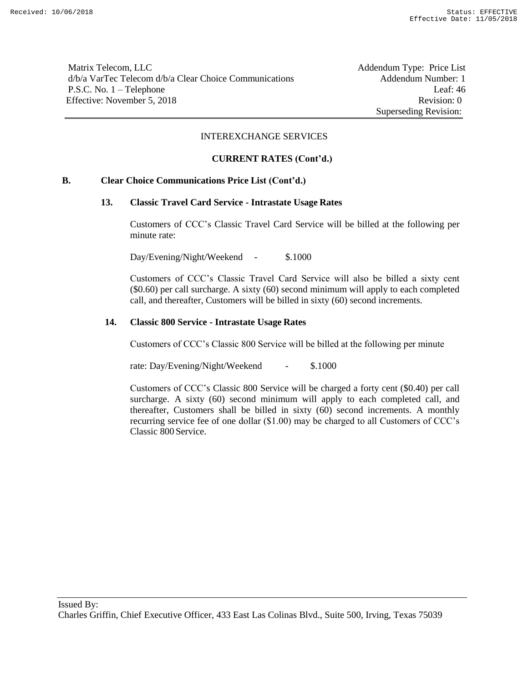Matrix Telecom, LLC **Addendum Type: Price List** d/b/a VarTec Telecom d/b/a Clear Choice Communications Addendum Number: 1 P.S.C. No. 1 – Telephone Leaf: 46 Effective: November 5, 2018 Revision: 0

Superseding Revision:

#### INTEREXCHANGE SERVICES

### **CURRENT RATES (Cont'd.)**

### **B. Clear Choice Communications Price List (Cont'd.)**

#### **13. Classic Travel Card Service - Intrastate Usage Rates**

Customers of CCC's Classic Travel Card Service will be billed at the following per minute rate:

Day/Evening/Night/Weekend - \$.1000

Customers of CCC's Classic Travel Card Service will also be billed a sixty cent (\$0.60) per call surcharge. A sixty (60) second minimum will apply to each completed call, and thereafter, Customers will be billed in sixty (60) second increments.

### **14. Classic 800 Service - Intrastate Usage Rates**

Customers of CCC's Classic 800 Service will be billed at the following per minute

rate: Day/Evening/Night/Weekend - \$.1000

Customers of CCC's Classic 800 Service will be charged a forty cent (\$0.40) per call surcharge. A sixty (60) second minimum will apply to each completed call, and thereafter, Customers shall be billed in sixty (60) second increments. A monthly recurring service fee of one dollar (\$1.00) may be charged to all Customers of CCC's Classic 800 Service.